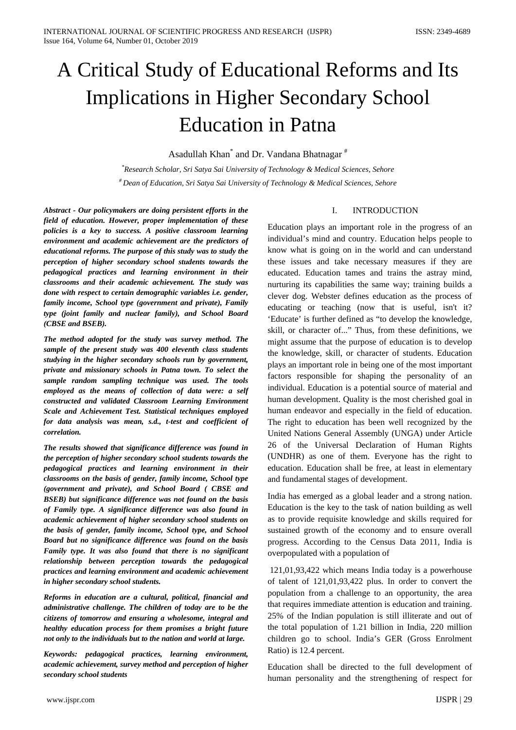# A Critical Study of Educational Reforms and Its Implications in Higher Secondary School Education in Patna

Asadullah Khan\* and Dr. Vandana Bhatnagar #

*\* Research Scholar, Sri Satya Sai University of Technology & Medical Sciences, Sehore # Dean of Education, Sri Satya Sai University of Technology & Medical Sciences, Sehore*

*Abstract - Our policymakers are doing persistent efforts in the field of education. However, proper implementation of these policies is a key to success. A positive classroom learning environment and academic achievement are the predictors of educational reforms. The purpose of this study was to study the perception of higher secondary school students towards the pedagogical practices and learning environment in their classrooms and their academic achievement. The study was done with respect to certain demographic variables i.e. gender, family income, School type (government and private), Family type (joint family and nuclear family), and School Board (CBSE and BSEB).*

*The method adopted for the study was survey method. The sample of the present study was 400 eleventh class students studying in the higher secondary schools run by government, private and missionary schools in Patna town. To select the sample random sampling technique was used. The tools employed as the means of collection of data were: a self constructed and validated Classroom Learning Environment Scale and Achievement Test. Statistical techniques employed for data analysis was mean, s.d., t-test and coefficient of correlation.*

*The results showed that significance difference was found in the perception of higher secondary school students towards the pedagogical practices and learning environment in their classrooms on the basis of gender, family income, School type (government and private), and School Board ( CBSE and BSEB) but significance difference was not found on the basis of Family type. A significance difference was also found in academic achievement of higher secondary school students on the basis of gender, family income, School type, and School Board but no significance difference was found on the basis Family type. It was also found that there is no significant relationship between perception towards the pedagogical practices and learning environment and academic achievement in higher secondary school students.*

*Reforms in education are a cultural, political, financial and administrative challenge. The children of today are to be the citizens of tomorrow and ensuring a wholesome, integral and healthy education process for them promises a bright future not only to the individuals but to the nation and world at large.*

*Keywords: pedagogical practices, learning environment, academic achievement, survey method and perception of higher secondary school students*

#### I. INTRODUCTION

Education plays an important role in the progress of an individual's mind and country. Education helps people to know what is going on in the world and can understand these issues and take necessary measures if they are educated. Education tames and trains the astray mind, nurturing its capabilities the same way; training builds a clever dog. Webster defines education as the process of educating or teaching (now that is useful, isn't it? 'Educate' is further defined as "to develop the knowledge, skill, or character of..." Thus, from these definitions, we might assume that the purpose of education is to develop the knowledge, skill, or character of students. Education plays an important role in being one of the most important factors responsible for shaping the personality of an individual. Education is a potential source of material and human development. Quality is the most cherished goal in human endeavor and especially in the field of education. The right to education has been well recognized by the United Nations General Assembly (UNGA) under Article 26 of the Universal Declaration of Human Rights (UNDHR) as one of them. Everyone has the right to education. Education shall be free, at least in elementary and fundamental stages of development.

India has emerged as a global leader and a strong nation. Education is the key to the task of nation building as well as to provide requisite knowledge and skills required for sustained growth of the economy and to ensure overall progress. According to the Census Data 2011, India is overpopulated with a population of

121,01,93,422 which means India today is a powerhouse of talent of 121,01,93,422 plus. In order to convert the population from a challenge to an opportunity, the area that requires immediate attention is education and training. 25% of the Indian population is still illiterate and out of the total population of 1.21 billion in India, 220 million children go to school. India's GER (Gross Enrolment Ratio) is 12.4 percent.

Education shall be directed to the full development of human personality and the strengthening of respect for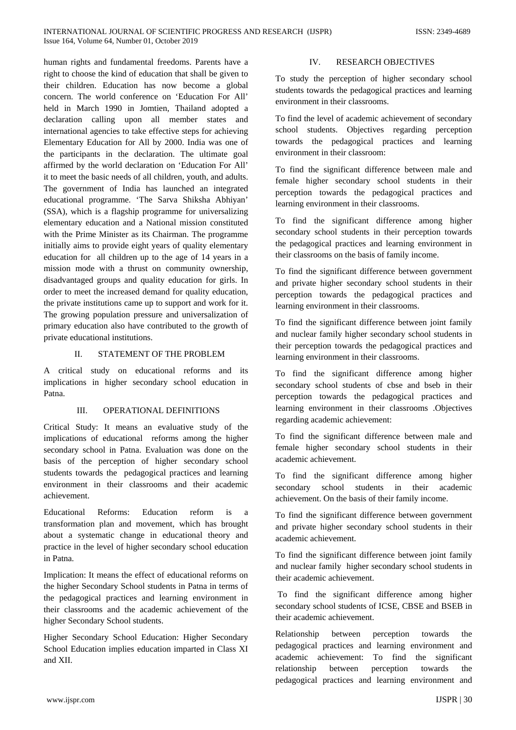human rights and fundamental freedoms. Parents have a right to choose the kind of education that shall be given to their children. Education has now become a global concern. The world conference on 'Education For All' held in March 1990 in Jomtien, Thailand adopted a declaration calling upon all member states and international agencies to take effective steps for achieving Elementary Education for All by 2000. India was one of the participants in the declaration. The ultimate goal affirmed by the world declaration on 'Education For All' it to meet the basic needs of all children, youth, and adults. The government of India has launched an integrated educational programme. 'The Sarva Shiksha Abhiyan' (SSA), which is a flagship programme for universalizing elementary education and a National mission constituted with the Prime Minister as its Chairman. The programme initially aims to provide eight years of quality elementary education for all children up to the age of 14 years in a mission mode with a thrust on community ownership, disadvantaged groups and quality education for girls. In order to meet the increased demand for quality education, the private institutions came up to support and work for it. The growing population pressure and universalization of primary education also have contributed to the growth of private educational institutions.

#### II. STATEMENT OF THE PROBLEM

A critical study on educational reforms and its implications in higher secondary school education in Patna.

#### III. OPERATIONAL DEFINITIONS

Critical Study: It means an evaluative study of the implications of educational reforms among the higher secondary school in Patna. Evaluation was done on the basis of the perception of higher secondary school students towards the pedagogical practices and learning environment in their classrooms and their academic achievement.

Educational Reforms: Education reform is a transformation plan and movement, which has brought about a systematic change in educational theory and practice in the level of higher secondary school education in Patna.

Implication: It means the effect of educational reforms on the higher Secondary School students in Patna in terms of the pedagogical practices and learning environment in their classrooms and the academic achievement of the higher Secondary School students.

Higher Secondary School Education: Higher Secondary School Education implies education imparted in Class XI and XII.

# IV. RESEARCH OBJECTIVES

To study the perception of higher secondary school students towards the pedagogical practices and learning environment in their classrooms.

To find the level of academic achievement of secondary school students. Objectives regarding perception towards the pedagogical practices and learning environment in their classroom:

To find the significant difference between male and female higher secondary school students in their perception towards the pedagogical practices and learning environment in their classrooms.

To find the significant difference among higher secondary school students in their perception towards the pedagogical practices and learning environment in their classrooms on the basis of family income.

To find the significant difference between government and private higher secondary school students in their perception towards the pedagogical practices and learning environment in their classrooms.

To find the significant difference between joint family and nuclear family higher secondary school students in their perception towards the pedagogical practices and learning environment in their classrooms.

To find the significant difference among higher secondary school students of cbse and bseb in their perception towards the pedagogical practices and learning environment in their classrooms .Objectives regarding academic achievement:

To find the significant difference between male and female higher secondary school students in their academic achievement.

To find the significant difference among higher secondary school students in their academic achievement. On the basis of their family income.

To find the significant difference between government and private higher secondary school students in their academic achievement.

To find the significant difference between joint family and nuclear family higher secondary school students in their academic achievement.

To find the significant difference among higher secondary school students of ICSE, CBSE and BSEB in their academic achievement.

Relationship between perception towards the pedagogical practices and learning environment and academic achievement: To find the significant relationship between perception towards the pedagogical practices and learning environment and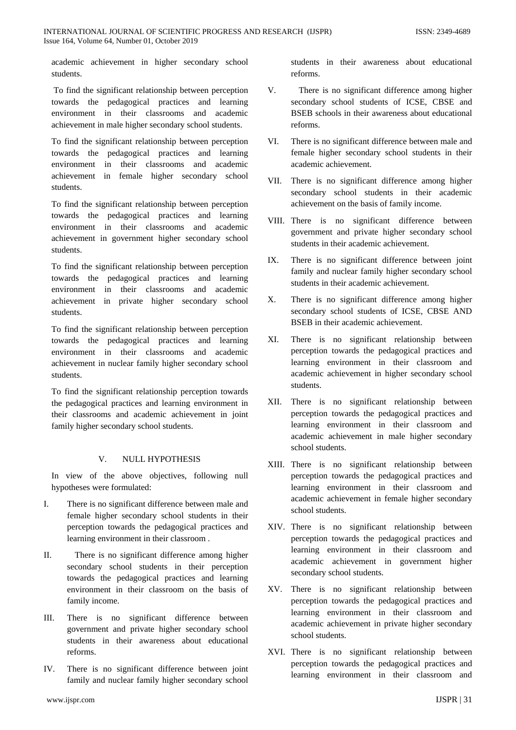academic achievement in higher secondary school students.

To find the significant relationship between perception towards the pedagogical practices and learning environment in their classrooms and academic achievement in male higher secondary school students.

To find the significant relationship between perception towards the pedagogical practices and learning environment in their classrooms and academic achievement in female higher secondary school students.

To find the significant relationship between perception towards the pedagogical practices and learning environment in their classrooms and academic achievement in government higher secondary school students.

To find the significant relationship between perception towards the pedagogical practices and learning environment in their classrooms and academic achievement in private higher secondary school students.

To find the significant relationship between perception towards the pedagogical practices and learning environment in their classrooms and academic achievement in nuclear family higher secondary school students.

To find the significant relationship perception towards the pedagogical practices and learning environment in their classrooms and academic achievement in joint family higher secondary school students.

## V. NULL HYPOTHESIS

In view of the above objectives, following null hypotheses were formulated:

- I. There is no significant difference between male and female higher secondary school students in their perception towards the pedagogical practices and learning environment in their classroom .
- II. There is no significant difference among higher secondary school students in their perception towards the pedagogical practices and learning environment in their classroom on the basis of family income.
- III. There is no significant difference between government and private higher secondary school students in their awareness about educational reforms.
- IV. There is no significant difference between joint family and nuclear family higher secondary school

students in their awareness about educational reforms.

- V. There is no significant difference among higher secondary school students of ICSE, CBSE and BSEB schools in their awareness about educational reforms.
- VI. There is no significant difference between male and female higher secondary school students in their academic achievement.
- VII. There is no significant difference among higher secondary school students in their academic achievement on the basis of family income.
- VIII. There is no significant difference between government and private higher secondary school students in their academic achievement.
- IX. There is no significant difference between joint family and nuclear family higher secondary school students in their academic achievement.
- X. There is no significant difference among higher secondary school students of ICSE, CBSE AND BSEB in their academic achievement.
- XI. There is no significant relationship between perception towards the pedagogical practices and learning environment in their classroom and academic achievement in higher secondary school students.
- XII. There is no significant relationship between perception towards the pedagogical practices and learning environment in their classroom and academic achievement in male higher secondary school students.
- XIII. There is no significant relationship between perception towards the pedagogical practices and learning environment in their classroom and academic achievement in female higher secondary school students.
- XIV. There is no significant relationship between perception towards the pedagogical practices and learning environment in their classroom and academic achievement in government higher secondary school students.
- XV. There is no significant relationship between perception towards the pedagogical practices and learning environment in their classroom and academic achievement in private higher secondary school students.
- XVI. There is no significant relationship between perception towards the pedagogical practices and learning environment in their classroom and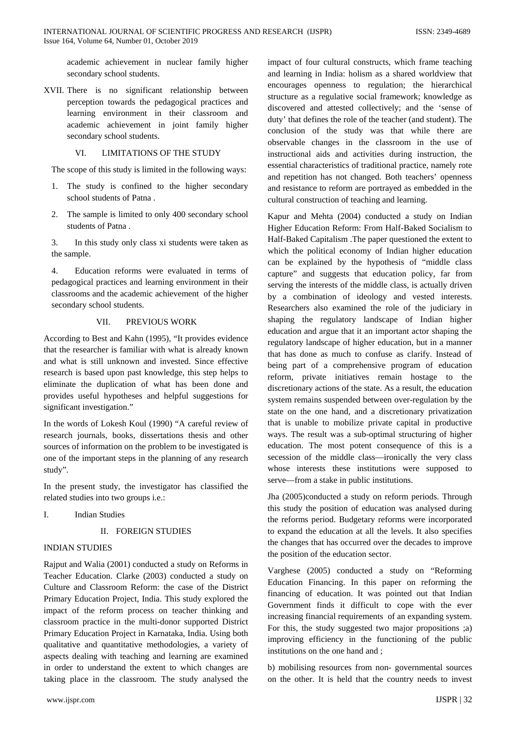academic achievement in nuclear family higher secondary school students.

XVII. There is no significant relationship between perception towards the pedagogical practices and learning environment in their classroom and academic achievement in joint family higher secondary school students.

#### VI. LIMITATIONS OF THE STUDY

The scope of this study is limited in the following ways:

- 1. The study is confined to the higher secondary school students of Patna .
- 2. The sample is limited to only 400 secondary school students of Patna .

3. In this study only class xi students were taken as the sample.

4. Education reforms were evaluated in terms of pedagogical practices and learning environment in their classrooms and the academic achievement of the higher secondary school students.

#### VII. PREVIOUS WORK

According to Best and Kahn (1995), "It provides evidence that the researcher is familiar with what is already known and what is still unknown and invested. Since effective research is based upon past knowledge, this step helps to eliminate the duplication of what has been done and provides useful hypotheses and helpful suggestions for significant investigation."

In the words of Lokesh Koul (1990) "A careful review of research journals, books, dissertations thesis and other sources of information on the problem to be investigated is one of the important steps in the planning of any research study".

In the present study, the investigator has classified the related studies into two groups i.e.:

I. Indian Studies

## II. FOREIGN STUDIES

## INDIAN STUDIES

Rajput and Walia (2001) conducted a study on Reforms in Teacher Education. Clarke (2003) conducted a study on Culture and Classroom Reform: the case of the District Primary Education Project, India. This study explored the impact of the reform process on teacher thinking and classroom practice in the multi-donor supported District Primary Education Project in Karnataka, India. Using both qualitative and quantitative methodologies, a variety of aspects dealing with teaching and learning are examined in order to understand the extent to which changes are taking place in the classroom. The study analysed the

impact of four cultural constructs, which frame teaching and learning in India: holism as a shared worldview that encourages openness to regulation; the hierarchical structure as a regulative social framework; knowledge as discovered and attested collectively; and the 'sense of duty' that defines the role of the teacher (and student). The conclusion of the study was that while there are observable changes in the classroom in the use of instructional aids and activities during instruction, the essential characteristics of traditional practice, namely rote and repetition has not changed. Both teachers' openness and resistance to reform are portrayed as embedded in the cultural construction of teaching and learning.

Kapur and Mehta (2004) conducted a study on Indian Higher Education Reform: From Half-Baked Socialism to Half-Baked Capitalism .The paper questioned the extent to which the political economy of Indian higher education can be explained by the hypothesis of "middle class capture" and suggests that education policy, far from serving the interests of the middle class, is actually driven by a combination of ideology and vested interests. Researchers also examined the role of the judiciary in shaping the regulatory landscape of Indian higher education and argue that it an important actor shaping the regulatory landscape of higher education, but in a manner that has done as much to confuse as clarify. Instead of being part of a comprehensive program of education reform, private initiatives remain hostage to the discretionary actions of the state. As a result, the education system remains suspended between over-regulation by the state on the one hand, and a discretionary privatization that is unable to mobilize private capital in productive ways. The result was a sub-optimal structuring of higher education. The most potent consequence of this is a secession of the middle class—ironically the very class whose interests these institutions were supposed to serve—from a stake in public institutions.

Jha (2005)conducted a study on reform periods. Through this study the position of education was analysed during the reforms period. Budgetary reforms were incorporated to expand the education at all the levels. It also specifies the changes that has occurred over the decades to improve the position of the education sector.

Varghese (2005) conducted a study on "Reforming Education Financing. In this paper on reforming the financing of education. It was pointed out that Indian Government finds it difficult to cope with the ever increasing financial requirements of an expanding system. For this, the study suggested two major propositions ;a) improving efficiency in the functioning of the public institutions on the one hand and ;

b) mobilising resources from non- governmental sources on the other. It is held that the country needs to invest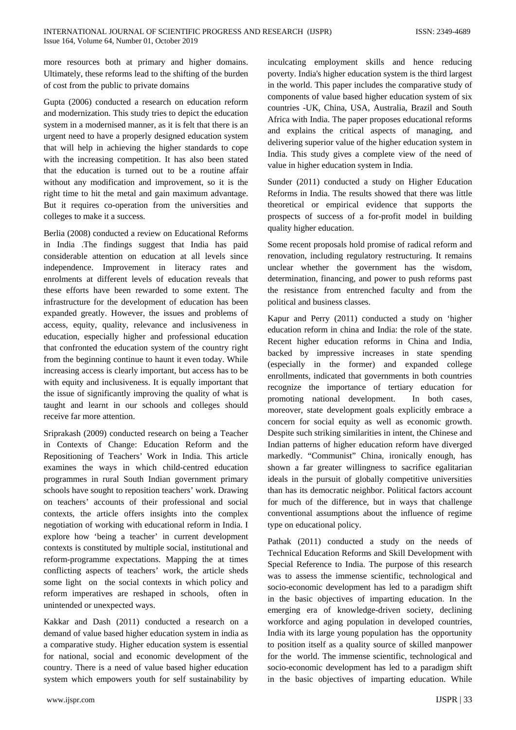more resources both at primary and higher domains. Ultimately, these reforms lead to the shifting of the burden of cost from the public to private domains

Gupta (2006) conducted a research on education reform and modernization. This study tries to depict the education system in a modernised manner, as it is felt that there is an urgent need to have a properly designed education system that will help in achieving the higher standards to cope with the increasing competition. It has also been stated that the education is turned out to be a routine affair without any modification and improvement, so it is the right time to hit the metal and gain maximum advantage. But it requires co-operation from the universities and colleges to make it a success.

Berlia (2008) conducted a review on Educational Reforms in India .The findings suggest that India has paid considerable attention on education at all levels since independence. Improvement in literacy rates and enrolments at different levels of education reveals that these efforts have been rewarded to some extent. The infrastructure for the development of education has been expanded greatly. However, the issues and problems of access, equity, quality, relevance and inclusiveness in education, especially higher and professional education that confronted the education system of the country right from the beginning continue to haunt it even today. While increasing access is clearly important, but access has to be with equity and inclusiveness. It is equally important that the issue of significantly improving the quality of what is taught and learnt in our schools and colleges should receive far more attention.

Sriprakash (2009) conducted research on being a Teacher in Contexts of Change: Education Reform and the Repositioning of Teachers' Work in India. This article examines the ways in which child-centred education programmes in rural South Indian government primary schools have sought to reposition teachers' work. Drawing on teachers' accounts of their professional and social contexts, the article offers insights into the complex negotiation of working with educational reform in India. I explore how 'being a teacher' in current development contexts is constituted by multiple social, institutional and reform-programme expectations. Mapping the at times conflicting aspects of teachers' work, the article sheds some light on the social contexts in which policy and reform imperatives are reshaped in schools, often in unintended or unexpected ways.

Kakkar and Dash (2011) conducted a research on a demand of value based higher education system in india as a comparative study. Higher education system is essential for national, social and economic development of the country. There is a need of value based higher education system which empowers youth for self sustainability by inculcating employment skills and hence reducing poverty. India's higher education system is the third largest in the world. This paper includes the comparative study of components of value based higher education system of six countries -UK, China, USA, Australia, Brazil and South Africa with India. The paper proposes educational reforms and explains the critical aspects of managing, and delivering superior value of the higher education system in India. This study gives a complete view of the need of value in higher education system in India.

Sunder (2011) conducted a study on Higher Education Reforms in India. The results showed that there was little theoretical or empirical evidence that supports the prospects of success of a for-profit model in building quality higher education.

Some recent proposals hold promise of radical reform and renovation, including regulatory restructuring. It remains unclear whether the government has the wisdom, determination, financing, and power to push reforms past the resistance from entrenched faculty and from the political and business classes.

Kapur and Perry (2011) conducted a study on 'higher education reform in china and India: the role of the state. Recent higher education reforms in China and India, backed by impressive increases in state spending (especially in the former) and expanded college enrollments, indicated that governments in both countries recognize the importance of tertiary education for promoting national development. In both cases, moreover, state development goals explicitly embrace a concern for social equity as well as economic growth. Despite such striking similarities in intent, the Chinese and Indian patterns of higher education reform have diverged markedly. "Communist" China, ironically enough, has shown a far greater willingness to sacrifice egalitarian ideals in the pursuit of globally competitive universities than has its democratic neighbor. Political factors account for much of the difference, but in ways that challenge conventional assumptions about the influence of regime type on educational policy.

Pathak (2011) conducted a study on the needs of Technical Education Reforms and Skill Development with Special Reference to India. The purpose of this research was to assess the immense scientific, technological and socio-economic development has led to a paradigm shift in the basic objectives of imparting education. In the emerging era of knowledge-driven society, declining workforce and aging population in developed countries, India with its large young population has the opportunity to position itself as a quality source of skilled manpower for the world. The immense scientific, technological and socio-economic development has led to a paradigm shift in the basic objectives of imparting education. While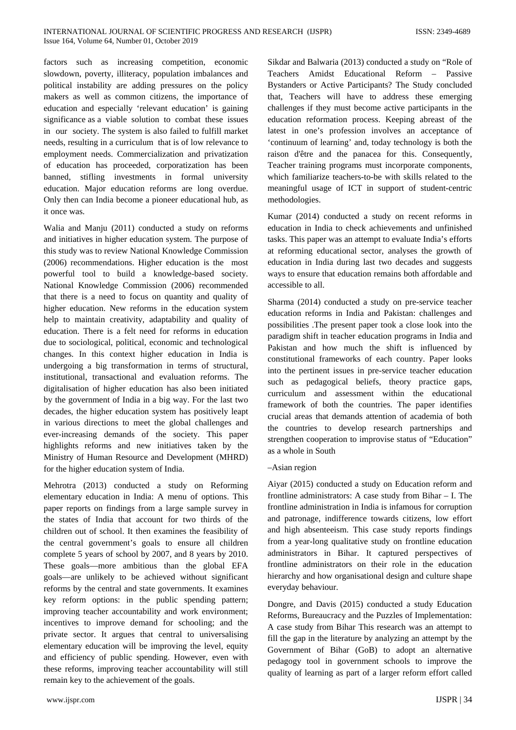factors such as increasing competition, economic slowdown, poverty, illiteracy, population imbalances and political instability are adding pressures on the policy makers as well as common citizens, the importance of education and especially 'relevant education' is gaining significance as a viable solution to combat these issues in our society. The system is also failed to fulfill market needs, resulting in a curriculum that is of low relevance to employment needs. Commercialization and privatization of education has proceeded, corporatization has been banned, stifling investments in formal university education. Major education reforms are long overdue. Only then can India become a pioneer educational hub, as it once was.

Walia and Manju (2011) conducted a study on reforms and initiatives in higher education system. The purpose of this study was to review National Knowledge Commission (2006) recommendations. Higher education is the most powerful tool to build a knowledge-based society. National Knowledge Commission (2006) recommended that there is a need to focus on quantity and quality of higher education. New reforms in the education system help to maintain creativity, adaptability and quality of education. There is a felt need for reforms in education due to sociological, political, economic and technological changes. In this context higher education in India is undergoing a big transformation in terms of structural, institutional, transactional and evaluation reforms. The digitalisation of higher education has also been initiated by the government of India in a big way. For the last two decades, the higher education system has positively leapt in various directions to meet the global challenges and ever-increasing demands of the society. This paper highlights reforms and new initiatives taken by the Ministry of Human Resource and Development (MHRD) for the higher education system of India.

Mehrotra (2013) conducted a study on Reforming elementary education in India: A menu of options. This paper reports on findings from a large sample survey in the states of India that account for two thirds of the children out of school. It then examines the feasibility of the central government's goals to ensure all children complete 5 years of school by 2007, and 8 years by 2010. These goals—more ambitious than the global EFA goals—are unlikely to be achieved without significant reforms by the central and state governments. It examines key reform options: in the public spending pattern; improving teacher accountability and work environment; incentives to improve demand for schooling; and the private sector. It argues that central to universalising elementary education will be improving the level, equity and efficiency of public spending. However, even with these reforms, improving teacher accountability will still remain key to the achievement of the goals.

Sikdar and Balwaria (2013) conducted a study on "Role of Teachers Amidst Educational Reform – Passive Bystanders or Active Participants? The Study concluded that, Teachers will have to address these emerging challenges if they must become active participants in the education reformation process. Keeping abreast of the latest in one's profession involves an acceptance of 'continuum of learning' and, today technology is both the raison d'être and the panacea for this. Consequently, Teacher training programs must incorporate components, which familiarize teachers-to-be with skills related to the meaningful usage of ICT in support of student-centric methodologies.

Kumar (2014) conducted a study on recent reforms in education in India to check achievements and unfinished tasks. This paper was an attempt to evaluate India's efforts at reforming educational sector, analyses the growth of education in India during last two decades and suggests ways to ensure that education remains both affordable and accessible to all.

Sharma (2014) conducted a study on pre-service teacher education reforms in India and Pakistan: challenges and possibilities .The present paper took a close look into the paradigm shift in teacher education programs in India and Pakistan and how much the shift is influenced by constitutional frameworks of each country. Paper looks into the pertinent issues in pre-service teacher education such as pedagogical beliefs, theory practice gaps, curriculum and assessment within the educational framework of both the countries. The paper identifies crucial areas that demands attention of academia of both the countries to develop research partnerships and strengthen cooperation to improvise status of "Education" as a whole in South

#### –Asian region

Aiyar (2015) conducted a study on Education reform and frontline administrators: A case study from Bihar – I. The frontline administration in India is infamous for corruption and patronage, indifference towards citizens, low effort and high absenteeism. This case study reports findings from a year-long qualitative study on frontline education administrators in Bihar. It captured perspectives of frontline administrators on their role in the education hierarchy and how organisational design and culture shape everyday behaviour.

Dongre, and Davis (2015) conducted a study Education Reforms, Bureaucracy and the Puzzles of Implementation: A case study from Bihar This research was an attempt to fill the gap in the literature by analyzing an attempt by the Government of Bihar (GoB) to adopt an alternative pedagogy tool in government schools to improve the quality of learning as part of a larger reform effort called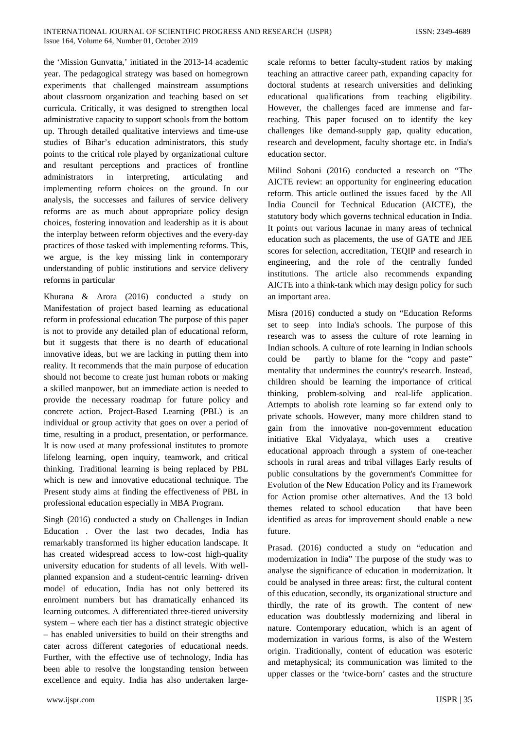the 'Mission Gunvatta,' initiated in the 2013-14 academic year. The pedagogical strategy was based on homegrown experiments that challenged mainstream assumptions about classroom organization and teaching based on set curricula. Critically, it was designed to strengthen local administrative capacity to support schools from the bottom up. Through detailed qualitative interviews and time-use studies of Bihar's education administrators, this study points to the critical role played by organizational culture and resultant perceptions and practices of frontline administrators in interpreting, articulating and implementing reform choices on the ground. In our analysis, the successes and failures of service delivery reforms are as much about appropriate policy design choices, fostering innovation and leadership as it is about the interplay between reform objectives and the every-day practices of those tasked with implementing reforms. This, we argue, is the key missing link in contemporary understanding of public institutions and service delivery reforms in particular

Khurana & Arora (2016) conducted a study on Manifestation of project based learning as educational reform in professional education The purpose of this paper is not to provide any detailed plan of educational reform, but it suggests that there is no dearth of educational innovative ideas, but we are lacking in putting them into reality. It recommends that the main purpose of education should not become to create just human robots or making a skilled manpower, but an immediate action is needed to provide the necessary roadmap for future policy and concrete action. Project-Based Learning (PBL) is an individual or group activity that goes on over a period of time, resulting in a product, presentation, or performance. It is now used at many professional institutes to promote lifelong learning, open inquiry, teamwork, and critical thinking. Traditional learning is being replaced by PBL which is new and innovative educational technique. The Present study aims at finding the effectiveness of PBL in professional education especially in MBA Program.

Singh (2016) conducted a study on Challenges in Indian Education . Over the last two decades, India has remarkably transformed its higher education landscape. It has created widespread access to low-cost high-quality university education for students of all levels. With wellplanned expansion and a student-centric learning- driven model of education, India has not only bettered its enrolment numbers but has dramatically enhanced its learning outcomes. A differentiated three-tiered university system – where each tier has a distinct strategic objective – has enabled universities to build on their strengths and cater across different categories of educational needs. Further, with the effective use of technology, India has been able to resolve the longstanding tension between excellence and equity. India has also undertaken largescale reforms to better faculty-student ratios by making teaching an attractive career path, expanding capacity for doctoral students at research universities and delinking educational qualifications from teaching eligibility. However, the challenges faced are immense and farreaching. This paper focused on to identify the key challenges like demand-supply gap, quality education, research and development, faculty shortage etc. in India's education sector.

Milind Sohoni (2016) conducted a research on "The AICTE review: an opportunity for engineering education reform. This article outlined the issues faced by the All India Council for Technical Education (AICTE), the statutory body which governs technical education in India. It points out various lacunae in many areas of technical education such as placements, the use of GATE and JEE scores for selection, accreditation, TEQIP and research in engineering, and the role of the centrally funded institutions. The article also recommends expanding AICTE into a think-tank which may design policy for such an important area.

Misra (2016) conducted a study on "Education Reforms set to seep into India's schools. The purpose of this research was to assess the culture of rote learning in Indian schools. A culture of rote learning in Indian schools could be partly to blame for the "copy and paste" mentality that undermines the country's research. Instead, children should be learning the importance of critical thinking, problem-solving and real-life application. Attempts to abolish rote learning so far extend only to private schools. However, many more children stand to gain from the innovative non-government education initiative Ekal Vidyalaya, which uses a creative educational approach through a system of one-teacher schools in rural areas and tribal villages Early results of public consultations by the government's Committee for Evolution of the New Education Policy and its Framework for Action promise other alternatives. And the 13 bold themes related to school education that have been identified as areas for improvement should enable a new future.

Prasad. (2016) conducted a study on "education and modernization in India" The purpose of the study was to analyse the significance of education in modernization. It could be analysed in three areas: first, the cultural content of this education, secondly, its organizational structure and thirdly, the rate of its growth. The content of new education was doubtlessly modernizing and liberal in nature. Contemporary education, which is an agent of modernization in various forms, is also of the Western origin. Traditionally, content of education was esoteric and metaphysical; its communication was limited to the upper classes or the 'twice-born' castes and the structure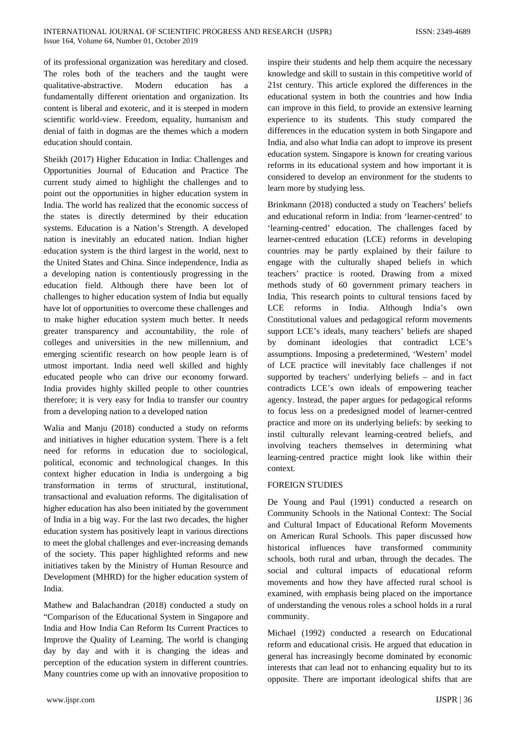of its professional organization was hereditary and closed. The roles both of the teachers and the taught were qualitative-abstractive. Modern education has a fundamentally different orientation and organization. Its content is liberal and exoteric, and it is steeped in modern scientific world-view. Freedom, equality, humanism and denial of faith in dogmas are the themes which a modern education should contain.

Sheikh (2017) Higher Education in India: Challenges and Opportunities Journal of Education and Practice The current study aimed to highlight the challenges and to point out the opportunities in higher education system in India. The world has realized that the economic success of the states is directly determined by their education systems. Education is a Nation's Strength. A developed nation is inevitably an educated nation. Indian higher education system is the third largest in the world, next to the United States and China. Since independence, India as a developing nation is contentiously progressing in the education field. Although there have been lot of challenges to higher education system of India but equally have lot of opportunities to overcome these challenges and to make higher education system much better. It needs greater transparency and accountability, the role of colleges and universities in the new millennium, and emerging scientific research on how people learn is of utmost important. India need well skilled and highly educated people who can drive our economy forward. India provides highly skilled people to other countries therefore; it is very easy for India to transfer our country from a developing nation to a developed nation

Walia and Manju (2018) conducted a study on reforms and initiatives in higher education system. There is a felt need for reforms in education due to sociological, political, economic and technological changes. In this context higher education in India is undergoing a big transformation in terms of structural, institutional, transactional and evaluation reforms. The digitalisation of higher education has also been initiated by the government of India in a big way. For the last two decades, the higher education system has positively leapt in various directions to meet the global challenges and ever-increasing demands of the society. This paper highlighted reforms and new initiatives taken by the Ministry of Human Resource and Development (MHRD) for the higher education system of India.

Mathew and Balachandran (2018) conducted a study on "Comparison of the Educational System in Singapore and India and How India Can Reform Its Current Practices to Improve the Quality of Learning. The world is changing day by day and with it is changing the ideas and perception of the education system in different countries. Many countries come up with an innovative proposition to

inspire their students and help them acquire the necessary knowledge and skill to sustain in this competitive world of 21st century. This article explored the differences in the educational system in both the countries and how India can improve in this field, to provide an extensive learning experience to its students. This study compared the differences in the education system in both Singapore and India, and also what India can adopt to improve its present education system. Singapore is known for creating various reforms in its educational system and how important it is considered to develop an environment for the students to learn more by studying less.

Brinkmann (2018) conducted a study on Teachers' beliefs and educational reform in India: from 'learner-centred' to 'learning-centred' education. The challenges faced by learner-centred education (LCE) reforms in developing countries may be partly explained by their failure to engage with the culturally shaped beliefs in which teachers' practice is rooted. Drawing from a mixed methods study of 60 government primary teachers in India, This research points to cultural tensions faced by LCE reforms in India. Although India's own Constitutional values and pedagogical reform movements support LCE's ideals, many teachers' beliefs are shaped by dominant ideologies that contradict LCE's assumptions. Imposing a predetermined, 'Western' model of LCE practice will inevitably face challenges if not supported by teachers' underlying beliefs – and in fact contradicts LCE's own ideals of empowering teacher agency. Instead, the paper argues for pedagogical reforms to focus less on a predesigned model of learner-centred practice and more on its underlying beliefs: by seeking to instil culturally relevant learning-centred beliefs, and involving teachers themselves in determining what learning-centred practice might look like within their context.

## FOREIGN STUDIES

De Young and Paul (1991) conducted a research on Community Schools in the National Context: The Social and Cultural Impact of Educational Reform Movements on American Rural Schools. This paper discussed how historical influences have transformed community schools, both rural and urban, through the decades. The social and cultural impacts of educational reform movements and how they have affected rural school is examined, with emphasis being placed on the importance of understanding the venous roles a school holds in a rural community.

Michael (1992) conducted a research on Educational reform and educational crisis. He argued that education in general has increasingly become dominated by economic interests that can lead not to enhancing equality but to its opposite. There are important ideological shifts that are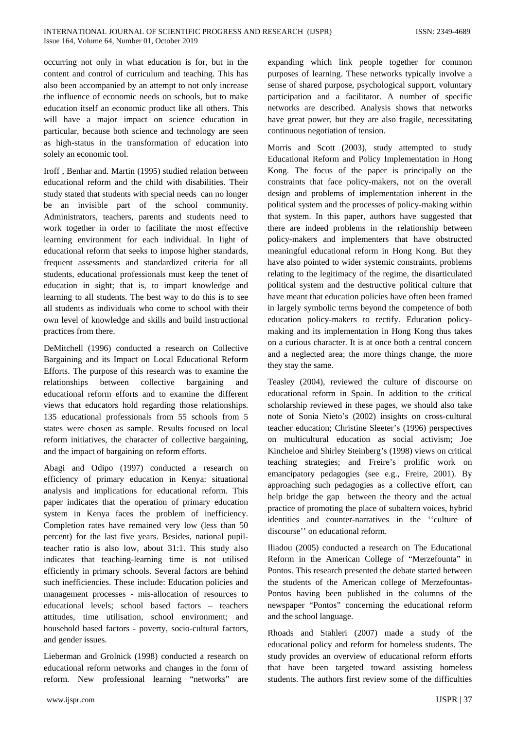occurring not only in what education is for, but in the content and control of curriculum and teaching. This has also been accompanied by an attempt to not only increase the influence of economic needs on schools, but to make education itself an economic product like all others. This will have a major impact on science education in particular, because both science and technology are seen as high‐status in the transformation of education into solely an economic tool.

Iroff , Benhar and. Martin (1995) studied relation between educational reform and the child with disabilities. Their study stated that students with special needs can no longer be an invisible part of the school community. Administrators, teachers, parents and students need to work together in order to facilitate the most effective learning environment for each individual. In light of educational reform that seeks to impose higher standards, frequent assessments and standardized criteria for all students, educational professionals must keep the tenet of education in sight; that is, to impart knowledge and learning to all students. The best way to do this is to see all students as individuals who come to school with their own level of knowledge and skills and build instructional practices from there.

DeMitchell (1996) conducted a research on Collective Bargaining and its Impact on Local Educational Reform Efforts. The purpose of this research was to examine the relationships between collective bargaining and educational reform efforts and to examine the different views that educators hold regarding those relationships. 135 educational professionals from 55 schools from 5 states were chosen as sample. Results focused on local reform initiatives, the character of collective bargaining, and the impact of bargaining on reform efforts.

Abagi and Odipo (1997) conducted a research on efficiency of primary education in Kenya: situational analysis and implications for educational reform. This paper indicates that the operation of primary education system in Kenya faces the problem of inefficiency. Completion rates have remained very low (less than 50 percent) for the last five years. Besides, national pupilteacher ratio is also low, about 31:1. This study also indicates that teaching-learning time is not utilised efficiently in primary schools. Several factors are behind such inefficiencies. These include: Education policies and management processes - mis-allocation of resources to educational levels; school based factors – teachers attitudes, time utilisation, school environment; and household based factors - poverty, socio-cultural factors, and gender issues.

Lieberman and Grolnick (1998) conducted a research on educational reform networks and changes in the form of reform. New professional learning "networks" are expanding which link people together for common purposes of learning. These networks typically involve a sense of shared purpose, psychological support, voluntary participation and a facilitator. A number of specific networks are described. Analysis shows that networks have great power, but they are also fragile, necessitating continuous negotiation of tension.

Morris and Scott (2003), study attempted to study Educational Reform and Policy Implementation in Hong Kong. The focus of the paper is principally on the constraints that face policy-makers, not on the overall design and problems of implementation inherent in the political system and the processes of policy-making within that system. In this paper, authors have suggested that there are indeed problems in the relationship between policy-makers and implementers that have obstructed meaningful educational reform in Hong Kong. But they have also pointed to wider systemic constraints, problems relating to the legitimacy of the regime, the disarticulated political system and the destructive political culture that have meant that education policies have often been framed in largely symbolic terms beyond the competence of both education policy-makers to rectify. Education policymaking and its implementation in Hong Kong thus takes on a curious character. It is at once both a central concern and a neglected area; the more things change, the more they stay the same.

Teasley (2004), reviewed the culture of discourse on educational reform in Spain. In addition to the critical scholarship reviewed in these pages, we should also take note of Sonia Nieto's (2002) insights on cross-cultural teacher education; Christine Sleeter's (1996) perspectives on multicultural education as social activism; Joe Kincheloe and Shirley Steinberg's (1998) views on critical teaching strategies; and Freire's prolific work on emancipatory pedagogies (see e.g., Freire, 2001). By approaching such pedagogies as a collective effort, can help bridge the gap between the theory and the actual practice of promoting the place of subaltern voices, hybrid identities and counter-narratives in the ''culture of discourse'' on educational reform.

Iliadou (2005) conducted a research on The Educational Reform in the American College of "Merzefounta" in Pontos. This research presented the debate started between the students of the American college of Merzefountas-Pontos having been published in the columns of the newspaper "Pontos" concerning the educational reform and the school language.

Rhoads and Stahleri (2007) made a study of the educational policy and reform for homeless students. The study provides an overview of educational reform efforts that have been targeted toward assisting homeless students. The authors first review some of the difficulties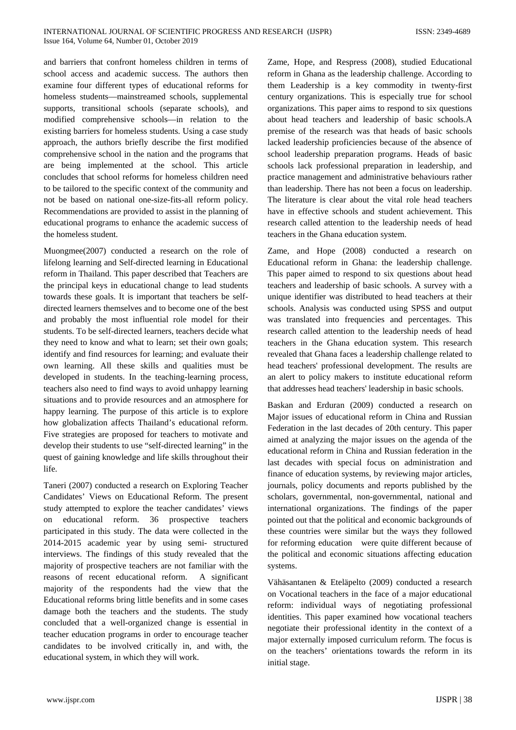and barriers that confront homeless children in terms of school access and academic success. The authors then examine four different types of educational reforms for homeless students—mainstreamed schools, supplemental supports, transitional schools (separate schools), and modified comprehensive schools—in relation to the existing barriers for homeless students. Using a case study approach, the authors briefly describe the first modified comprehensive school in the nation and the programs that are being implemented at the school. This article concludes that school reforms for homeless children need to be tailored to the specific context of the community and not be based on national one-size-fits-all reform policy. Recommendations are provided to assist in the planning of educational programs to enhance the academic success of the homeless student.

Muongmee(2007) conducted a research on the role of lifelong learning and Self-directed learning in Educational reform in Thailand. This paper described that Teachers are the principal keys in educational change to lead students towards these goals. It is important that teachers be selfdirected learners themselves and to become one of the best and probably the most influential role model for their students. To be self-directed learners, teachers decide what they need to know and what to learn; set their own goals; identify and find resources for learning; and evaluate their own learning. All these skills and qualities must be developed in students. In the teaching-learning process, teachers also need to find ways to avoid unhappy learning situations and to provide resources and an atmosphere for happy learning. The purpose of this article is to explore how globalization affects Thailand's educational reform. Five strategies are proposed for teachers to motivate and develop their students to use "self-directed learning" in the quest of gaining knowledge and life skills throughout their life.

Taneri (2007) conducted a research on Exploring Teacher Candidates' Views on Educational Reform. The present study attempted to explore the teacher candidates' views on educational reform. 36 prospective teachers participated in this study. The data were collected in the 2014-2015 academic year by using semi- structured interviews. The findings of this study revealed that the majority of prospective teachers are not familiar with the reasons of recent educational reform. A significant majority of the respondents had the view that the Educational reforms bring little benefits and in some cases damage both the teachers and the students. The study concluded that a well-organized change is essential in teacher education programs in order to encourage teacher candidates to be involved critically in, and with, the educational system, in which they will work.

Zame, Hope, and Respress (2008), studied Educational reform in Ghana as the leadership challenge. According to them Leadership is a key commodity in twenty‐first century organizations. This is especially true for school organizations. This paper aims to respond to six questions about head teachers and leadership of basic schools.A premise of the research was that heads of basic schools lacked leadership proficiencies because of the absence of school leadership preparation programs. Heads of basic schools lack professional preparation in leadership, and practice management and administrative behaviours rather than leadership. There has not been a focus on leadership. The literature is clear about the vital role head teachers have in effective schools and student achievement. This research called attention to the leadership needs of head teachers in the Ghana education system.

Zame, and Hope (2008) conducted a research on Educational reform in Ghana: the leadership challenge. This paper aimed to respond to six questions about head teachers and leadership of basic schools. A survey with a unique identifier was distributed to head teachers at their schools. Analysis was conducted using SPSS and output was translated into frequencies and percentages. This research called attention to the leadership needs of head teachers in the Ghana education system. This research revealed that Ghana faces a leadership challenge related to head teachers' professional development. The results are an alert to policy makers to institute educational reform that addresses head teachers' leadership in basic schools.

Baskan and Erduran (2009) conducted a research on Major issues of educational reform in China and Russian Federation in the last decades of 20th century. This paper aimed at analyzing the major issues on the agenda of the educational reform in China and Russian federation in the last decades with special focus on administration and finance of education systems, by reviewing major articles, journals, policy documents and reports published by the scholars, governmental, non-governmental, national and international organizations. The findings of the paper pointed out that the political and economic backgrounds of these countries were similar but the ways they followed for reforming education were quite different because of the political and economic situations affecting education systems.

Vähäsantanen & Eteläpelto (2009) conducted a research on Vocational teachers in the face of a major educational reform: individual ways of negotiating professional identities. This paper examined how vocational teachers negotiate their professional identity in the context of a major externally imposed curriculum reform. The focus is on the teachers' orientations towards the reform in its initial stage.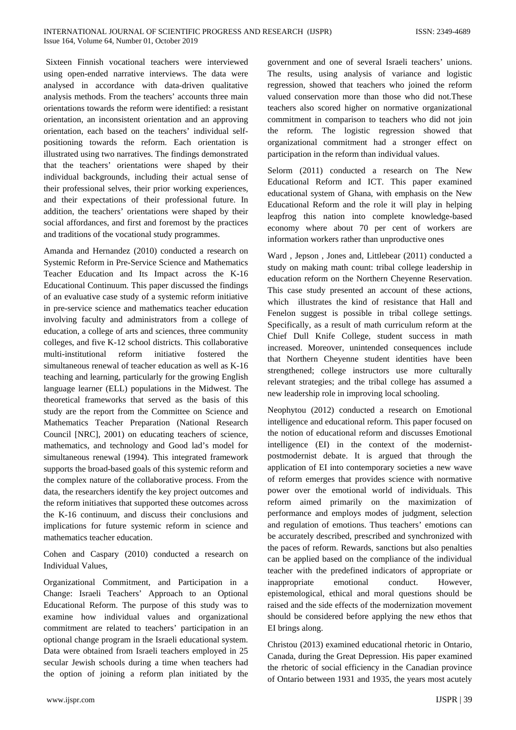Sixteen Finnish vocational teachers were interviewed using open-ended narrative interviews. The data were analysed in accordance with data-driven qualitative analysis methods. From the teachers' accounts three main orientations towards the reform were identified: a resistant orientation, an inconsistent orientation and an approving orientation, each based on the teachers' individual selfpositioning towards the reform. Each orientation is illustrated using two narratives. The findings demonstrated that the teachers' orientations were shaped by their individual backgrounds, including their actual sense of their professional selves, their prior working experiences, and their expectations of their professional future. In addition, the teachers' orientations were shaped by their social affordances, and first and foremost by the practices and traditions of the vocational study programmes.

Amanda and Hernandez (2010) conducted a research on Systemic Reform in Pre-Service Science and Mathematics Teacher Education and Its Impact across the K-16 Educational Continuum. This paper discussed the findings of an evaluative case study of a systemic reform initiative in pre-service science and mathematics teacher education involving faculty and administrators from a college of education, a college of arts and sciences, three community colleges, and five K-12 school districts. This collaborative multi-institutional reform initiative fostered the simultaneous renewal of teacher education as well as K-16 teaching and learning, particularly for the growing English language learner (ELL) populations in the Midwest. The theoretical frameworks that served as the basis of this study are the report from the Committee on Science and Mathematics Teacher Preparation (National Research Council [NRC], 2001) on educating teachers of science, mathematics, and technology and Good lad's model for simultaneous renewal (1994). This integrated framework supports the broad-based goals of this systemic reform and the complex nature of the collaborative process. From the data, the researchers identify the key project outcomes and the reform initiatives that supported these outcomes across the K-16 continuum, and discuss their conclusions and implications for future systemic reform in science and mathematics teacher education.

Cohen and Caspary (2010) conducted a research on Individual Values,

Organizational Commitment, and Participation in a Change: Israeli Teachers' Approach to an Optional Educational Reform. The purpose of this study was to examine how individual values and organizational commitment are related to teachers' participation in an optional change program in the Israeli educational system. Data were obtained from Israeli teachers employed in 25 secular Jewish schools during a time when teachers had the option of joining a reform plan initiated by the government and one of several Israeli teachers' unions. The results, using analysis of variance and logistic regression, showed that teachers who joined the reform valued conservation more than those who did not.These teachers also scored higher on normative organizational commitment in comparison to teachers who did not join the reform. The logistic regression showed that organizational commitment had a stronger effect on participation in the reform than individual values.

Selorm (2011) conducted a research on The New Educational Reform and ICT. This paper examined educational system of Ghana, with emphasis on the New Educational Reform and the role it will play in helping leapfrog this nation into complete knowledge-based economy where about 70 per cent of workers are information workers rather than unproductive ones

Ward , Jepson , Jones and, Littlebear (2011) conducted a study on making math count: tribal college leadership in education reform on the Northern Cheyenne Reservation. This case study presented an account of these actions, which illustrates the kind of resistance that Hall and Fenelon suggest is possible in tribal college settings. Specifically, as a result of math curriculum reform at the Chief Dull Knife College, student success in math increased. Moreover, unintended consequences include that Northern Cheyenne student identities have been strengthened; college instructors use more culturally relevant strategies; and the tribal college has assumed a new leadership role in improving local schooling.

Neophytou (2012) conducted a research on Emotional intelligence and educational reform. This paper focused on the notion of educational reform and discusses Emotional intelligence (EI) in the context of the modernistpostmodernist debate. It is argued that through the application of EI into contemporary societies a new wave of reform emerges that provides science with normative power over the emotional world of individuals. This reform aimed primarily on the maximization of performance and employs modes of judgment, selection and regulation of emotions. Thus teachers' emotions can be accurately described, prescribed and synchronized with the paces of reform. Rewards, sanctions but also penalties can be applied based on the compliance of the individual teacher with the predefined indicators of appropriate or inappropriate emotional conduct. However, epistemological, ethical and moral questions should be raised and the side effects of the modernization movement should be considered before applying the new ethos that EI brings along.

Christou (2013) examined educational rhetoric in Ontario, Canada, during the Great Depression. His paper examined the rhetoric of social efficiency in the Canadian province of Ontario between 1931 and 1935, the years most acutely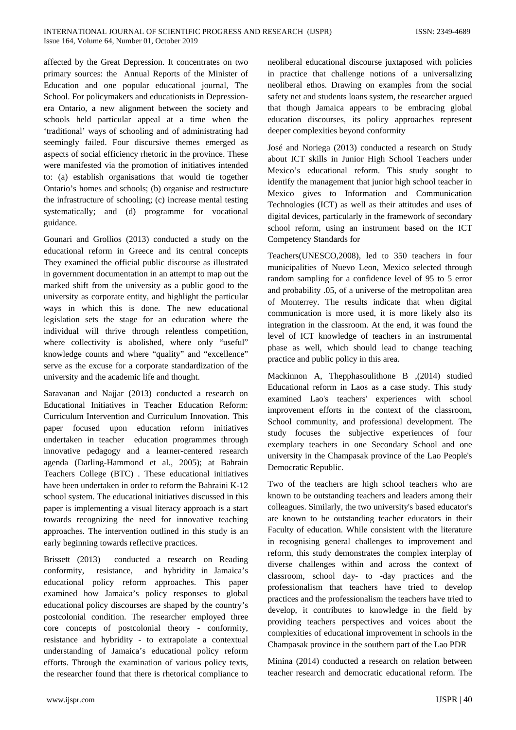affected by the Great Depression. It concentrates on two primary sources: the Annual Reports of the Minister of Education and one popular educational journal, The School. For policymakers and educationists in Depressionera Ontario, a new alignment between the society and schools held particular appeal at a time when the 'traditional' ways of schooling and of administrating had seemingly failed. Four discursive themes emerged as aspects of social efficiency rhetoric in the province. These were manifested via the promotion of initiatives intended to: (a) establish organisations that would tie together Ontario's homes and schools; (b) organise and restructure the infrastructure of schooling; (c) increase mental testing systematically; and (d) programme for vocational guidance.

Gounari and Grollios (2013) conducted a study on the educational reform in Greece and its central concepts They examined the official public discourse as illustrated in government documentation in an attempt to map out the marked shift from the university as a public good to the university as corporate entity, and highlight the particular ways in which this is done. The new educational legislation sets the stage for an education where the individual will thrive through relentless competition, where collectivity is abolished, where only "useful" knowledge counts and where "quality" and "excellence" serve as the excuse for a corporate standardization of the university and the academic life and thought.

Saravanan and Najjar (2013) conducted a research on Educational Initiatives in Teacher Education Reform: Curriculum Intervention and Curriculum Innovation. This paper focused upon education reform initiatives undertaken in teacher education programmes through innovative pedagogy and a learner-centered research agenda (Darling-Hammond et al., 2005); at Bahrain Teachers College (BTC) . These educational initiatives have been undertaken in order to reform the Bahraini K-12 school system. The educational initiatives discussed in this paper is implementing a visual literacy approach is a start towards recognizing the need for innovative teaching approaches. The intervention outlined in this study is an early beginning towards reflective practices.

Brissett (2013) conducted a research on Reading conformity, resistance, and hybridity in Jamaica's educational policy reform approaches. This paper examined how Jamaica's policy responses to global educational policy discourses are shaped by the country's postcolonial condition. The researcher employed three core concepts of postcolonial theory - conformity, resistance and hybridity - to extrapolate a contextual understanding of Jamaica's educational policy reform efforts. Through the examination of various policy texts, the researcher found that there is rhetorical compliance to

neoliberal educational discourse juxtaposed with policies in practice that challenge notions of a universalizing neoliberal ethos. Drawing on examples from the social safety net and students loans system, the researcher argued that though Jamaica appears to be embracing global education discourses, its policy approaches represent deeper complexities beyond conformity

José and Noriega (2013) conducted a research on Study about ICT skills in Junior High School Teachers under Mexico's educational reform. This study sought to identify the management that junior high school teacher in Mexico gives to Information and Communication Technologies (ICT) as well as their attitudes and uses of digital devices, particularly in the framework of secondary school reform, using an instrument based on the ICT Competency Standards for

Teachers(UNESCO,2008), led to 350 teachers in four municipalities of Nuevo Leon, Mexico selected through random sampling for a confidence level of 95 to 5 error and probability .05, of a universe of the metropolitan area of Monterrey. The results indicate that when digital communication is more used, it is more likely also its integration in the classroom. At the end, it was found the level of ICT knowledge of teachers in an instrumental phase as well, which should lead to change teaching practice and public policy in this area.

Mackinnon A, Thepphasoulithone B ,(2014) studied Educational reform in Laos as a case study. This study examined Lao's teachers' experiences with school improvement efforts in the context of the classroom, School community, and professional development. The study focuses the subjective experiences of four exemplary teachers in one Secondary School and one university in the Champasak province of the Lao People's Democratic Republic.

Two of the teachers are high school teachers who are known to be outstanding teachers and leaders among their colleagues. Similarly, the two university's based educator's are known to be outstanding teacher educators in their Faculty of education. While consistent with the literature in recognising general challenges to improvement and reform, this study demonstrates the complex interplay of diverse challenges within and across the context of classroom, school day- to -day practices and the professionalism that teachers have tried to develop practices and the professionalism the teachers have tried to develop, it contributes to knowledge in the field by providing teachers perspectives and voices about the complexities of educational improvement in schools in the Champasak province in the southern part of the Lao PDR

Minina (2014) conducted a research on relation between teacher research and democratic educational reform. The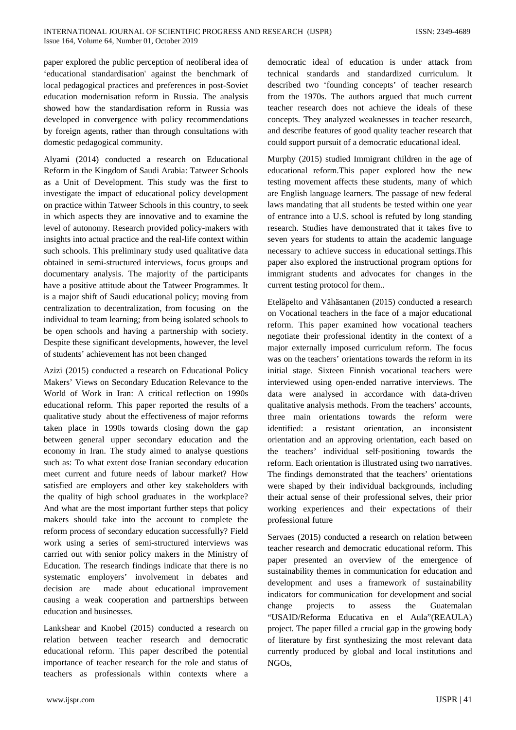paper explored the public perception of neoliberal idea of 'educational standardisation' against the benchmark of local pedagogical practices and preferences in post-Soviet education modernisation reform in Russia. The analysis showed how the standardisation reform in Russia was developed in convergence with policy recommendations by foreign agents, rather than through consultations with domestic pedagogical community.

Alyami (2014) conducted a research on Educational Reform in the Kingdom of Saudi Arabia: Tatweer Schools as a Unit of Development. This study was the first to investigate the impact of educational policy development on practice within Tatweer Schools in this country, to seek in which aspects they are innovative and to examine the level of autonomy. Research provided policy-makers with insights into actual practice and the real-life context within such schools. This preliminary study used qualitative data obtained in semi-structured interviews, focus groups and documentary analysis. The majority of the participants have a positive attitude about the Tatweer Programmes. It is a major shift of Saudi educational policy; moving from centralization to decentralization, from focusing on the individual to team learning; from being isolated schools to be open schools and having a partnership with society. Despite these significant developments, however, the level of students' achievement has not been changed

Azizi (2015) conducted a research on Educational Policy Makers' Views on Secondary Education Relevance to the World of Work in Iran: A critical reflection on 1990s educational reform. This paper reported the results of a qualitative study about the effectiveness of major reforms taken place in 1990s towards closing down the gap between general upper secondary education and the economy in Iran. The study aimed to analyse questions such as: To what extent dose Iranian secondary education meet current and future needs of labour market? How satisfied are employers and other key stakeholders with the quality of high school graduates in the workplace? And what are the most important further steps that policy makers should take into the account to complete the reform process of secondary education successfully? Field work using a series of semi-structured interviews was carried out with senior policy makers in the Ministry of Education. The research findings indicate that there is no systematic employers' involvement in debates and decision are made about educational improvement causing a weak cooperation and partnerships between education and businesses.

Lankshear and Knobel (2015) conducted a research on relation between teacher research and democratic educational reform. This paper described the potential importance of teacher research for the role and status of teachers as professionals within contexts where a

democratic ideal of education is under attack from technical standards and standardized curriculum. It described two 'founding concepts' of teacher research from the 1970s. The authors argued that much current teacher research does not achieve the ideals of these concepts. They analyzed weaknesses in teacher research, and describe features of good quality teacher research that could support pursuit of a democratic educational ideal.

Murphy (2015) studied Immigrant children in the age of educational reform.This paper explored how the new testing movement affects these students, many of which are English language learners. The passage of new federal laws mandating that all students be tested within one year of entrance into a U.S. school is refuted by long standing research. Studies have demonstrated that it takes five to seven years for students to attain the academic language necessary to achieve success in educational settings.This paper also explored the instructional program options for immigrant students and advocates for changes in the current testing protocol for them..

Eteläpelto and Vähäsantanen (2015) conducted a research on Vocational teachers in the face of a major educational reform. This paper examined how vocational teachers negotiate their professional identity in the context of a major externally imposed curriculum reform. The focus was on the teachers' orientations towards the reform in its initial stage. Sixteen Finnish vocational teachers were interviewed using open‐ended narrative interviews. The data were analysed in accordance with data‐driven qualitative analysis methods. From the teachers' accounts, three main orientations towards the reform were identified: a resistant orientation, an inconsistent orientation and an approving orientation, each based on the teachers' individual self‐positioning towards the reform. Each orientation is illustrated using two narratives. The findings demonstrated that the teachers' orientations were shaped by their individual backgrounds, including their actual sense of their professional selves, their prior working experiences and their expectations of their professional future

Servaes (2015) conducted a research on relation between teacher research and democratic educational reform. This paper presented an overview of the emergence of sustainability themes in communication for education and development and uses a framework of sustainability indicators for communication for development and social change projects to assess the Guatemalan "USAID/Reforma Educativa en el Aula"(REAULA) project. The paper filled a crucial gap in the growing body of literature by first synthesizing the most relevant data currently produced by global and local institutions and NGOs,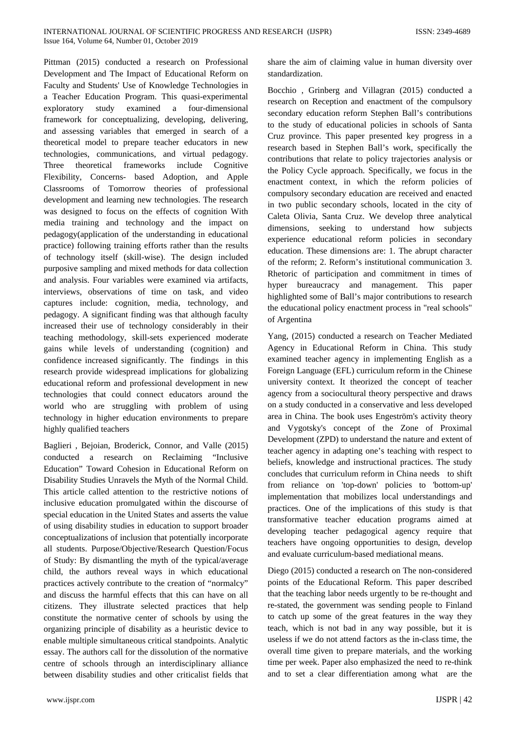Pittman (2015) conducted a research on Professional Development and The Impact of Educational Reform on Faculty and Students' Use of Knowledge Technologies in a Teacher Education Program. This quasi-experimental exploratory study examined a four-dimensional framework for conceptualizing, developing, delivering, and assessing variables that emerged in search of a theoretical model to prepare teacher educators in new technologies, communications, and virtual pedagogy. Three theoretical frameworks include Cognitive Flexibility, Concerns- based Adoption, and Apple Classrooms of Tomorrow theories of professional development and learning new technologies. The research was designed to focus on the effects of cognition With media training and technology and the impact on pedagogy(application of the understanding in educational practice) following training efforts rather than the results of technology itself (skill-wise). The design included purposive sampling and mixed methods for data collection and analysis. Four variables were examined via artifacts, interviews, observations of time on task, and video captures include: cognition, media, technology, and pedagogy. A significant finding was that although faculty increased their use of technology considerably in their teaching methodology, skill-sets experienced moderate gains while levels of understanding (cognition) and confidence increased significantly. The findings in this research provide widespread implications for globalizing educational reform and professional development in new technologies that could connect educators around the world who are struggling with problem of using technology in higher education environments to prepare highly qualified teachers

Baglieri , Bejoian, Broderick, Connor, and Valle (2015) conducted a research on Reclaiming "Inclusive Education" Toward Cohesion in Educational Reform on Disability Studies Unravels the Myth of the Normal Child. This article called attention to the restrictive notions of inclusive education promulgated within the discourse of special education in the United States and asserts the value of using disability studies in education to support broader conceptualizations of inclusion that potentially incorporate all students. Purpose/Objective/Research Question/Focus of Study: By dismantling the myth of the typical/average child, the authors reveal ways in which educational practices actively contribute to the creation of "normalcy" and discuss the harmful effects that this can have on all citizens. They illustrate selected practices that help constitute the normative center of schools by using the organizing principle of disability as a heuristic device to enable multiple simultaneous critical standpoints. Analytic essay. The authors call for the dissolution of the normative centre of schools through an interdisciplinary alliance between disability studies and other criticalist fields that share the aim of claiming value in human diversity over standardization.

Bocchio , Grinberg and Villagran (2015) conducted a research on Reception and enactment of the compulsory secondary education reform Stephen Ball's contributions to the study of educational policies in schools of Santa Cruz province. This paper presented key progress in a research based in Stephen Ball's work, specifically the contributions that relate to policy trajectories analysis or the Policy Cycle approach. Specifically, we focus in the enactment context, in which the reform policies of compulsory secondary education are received and enacted in two public secondary schools, located in the city of Caleta Olivia, Santa Cruz. We develop three analytical dimensions, seeking to understand how subjects experience educational reform policies in secondary education. These dimensions are: 1. The abrupt character of the reform; 2. Reform's institutional communication 3. Rhetoric of participation and commitment in times of hyper bureaucracy and management. This paper highlighted some of Ball's major contributions to research the educational policy enactment process in "real schools" of Argentina

Yang, (2015) conducted a research on Teacher Mediated Agency in Educational Reform in China. This study examined teacher agency in implementing English as a Foreign Language (EFL) curriculum reform in the Chinese university context. It theorized the concept of teacher agency from a sociocultural theory perspective and draws on a study conducted in a conservative and less developed area in China. The book uses Engeström's activity theory and Vygotsky's concept of the Zone of Proximal Development (ZPD) to understand the nature and extent of teacher agency in adapting one's teaching with respect to beliefs, knowledge and instructional practices. The study concludes that curriculum reform in China needs to shift from reliance on 'top-down' policies to 'bottom-up' implementation that mobilizes local understandings and practices. One of the implications of this study is that transformative teacher education programs aimed at developing teacher pedagogical agency require that teachers have ongoing opportunities to design, develop and evaluate curriculum-based mediational means.

Diego (2015) conducted a research on The non-considered points of the Educational Reform. This paper described that the teaching labor needs urgently to be re-thought and re-stated, the government was sending people to Finland to catch up some of the great features in the way they teach, which is not bad in any way possible, but it is useless if we do not attend factors as the in-class time, the overall time given to prepare materials, and the working time per week. Paper also emphasized the need to re-think and to set a clear differentiation among what are the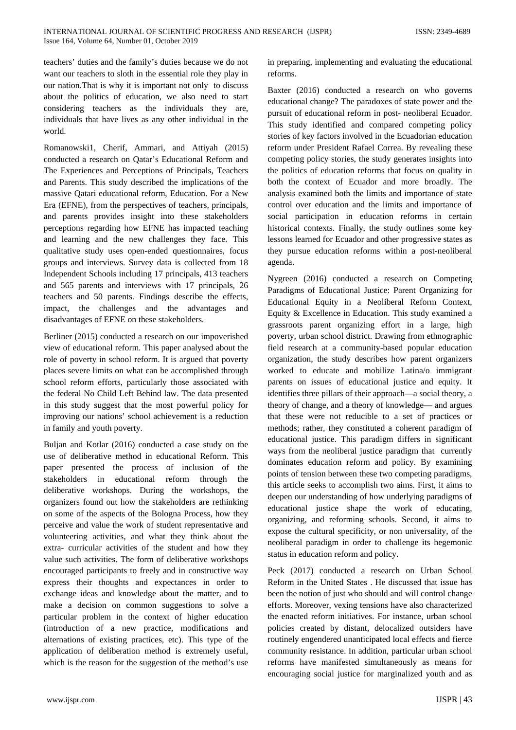teachers' duties and the family's duties because we do not want our teachers to sloth in the essential role they play in our nation.That is why it is important not only to discuss about the politics of education, we also need to start considering teachers as the individuals they are, individuals that have lives as any other individual in the world.

Romanowski1, Cherif, Ammari, and Attiyah (2015) conducted a research on Qatar's Educational Reform and The Experiences and Perceptions of Principals, Teachers and Parents. This study described the implications of the massive Qatari educational reform, Education. For a New Era (EFNE), from the perspectives of teachers, principals, and parents provides insight into these stakeholders perceptions regarding how EFNE has impacted teaching and learning and the new challenges they face. This qualitative study uses open-ended questionnaires, focus groups and interviews. Survey data is collected from 18 Independent Schools including 17 principals, 413 teachers and 565 parents and interviews with 17 principals, 26 teachers and 50 parents. Findings describe the effects, impact, the challenges and the advantages and disadvantages of EFNE on these stakeholders.

Berliner (2015) conducted a research on our impoverished view of educational reform. This paper analysed about the role of poverty in school reform. It is argued that poverty places severe limits on what can be accomplished through school reform efforts, particularly those associated with the federal No Child Left Behind law. The data presented in this study suggest that the most powerful policy for improving our nations' school achievement is a reduction in family and youth poverty.

Buljan and Kotlar (2016) conducted a case study on the use of deliberative method in educational Reform. This paper presented the process of inclusion of the stakeholders in educational reform through the deliberative workshops. During the workshops, the organizers found out how the stakeholders are rethinking on some of the aspects of the Bologna Process, how they perceive and value the work of student representative and volunteering activities, and what they think about the extra- curricular activities of the student and how they value such activities. The form of deliberative workshops encouraged participants to freely and in constructive way express their thoughts and expectances in order to exchange ideas and knowledge about the matter, and to make a decision on common suggestions to solve a particular problem in the context of higher education (introduction of a new practice, modifications and alternations of existing practices, etc). This type of the application of deliberation method is extremely useful, which is the reason for the suggestion of the method's use in preparing, implementing and evaluating the educational reforms.

Baxter (2016) conducted a research on who governs educational change? The paradoxes of state power and the pursuit of educational reform in post- neoliberal Ecuador. This study identified and compared competing policy stories of key factors involved in the Ecuadorian education reform under President Rafael Correa. By revealing these competing policy stories, the study generates insights into the politics of education reforms that focus on quality in both the context of Ecuador and more broadly. The analysis examined both the limits and importance of state control over education and the limits and importance of social participation in education reforms in certain historical contexts. Finally, the study outlines some key lessons learned for Ecuador and other progressive states as they pursue education reforms within a post-neoliberal agenda.

Nygreen (2016) conducted a research on Competing Paradigms of Educational Justice: Parent Organizing for Educational Equity in a Neoliberal Reform Context, Equity & Excellence in Education. This study examined a grassroots parent organizing effort in a large, high poverty, urban school district. Drawing from ethnographic field research at a community-based popular education organization, the study describes how parent organizers worked to educate and mobilize Latina/o immigrant parents on issues of educational justice and equity. It identifies three pillars of their approach—a social theory, a theory of change, and a theory of knowledge— and argues that these were not reducible to a set of practices or methods; rather, they constituted a coherent paradigm of educational justice. This paradigm differs in significant ways from the neoliberal justice paradigm that currently dominates education reform and policy. By examining points of tension between these two competing paradigms, this article seeks to accomplish two aims. First, it aims to deepen our understanding of how underlying paradigms of educational justice shape the work of educating, organizing, and reforming schools. Second, it aims to expose the cultural specificity, or non universality, of the neoliberal paradigm in order to challenge its hegemonic status in education reform and policy.

Peck (2017) conducted a research on Urban School Reform in the United States . He discussed that issue has been the notion of just who should and will control change efforts. Moreover, vexing tensions have also characterized the enacted reform initiatives. For instance, urban school policies created by distant, delocalized outsiders have routinely engendered unanticipated local effects and fierce community resistance. In addition, particular urban school reforms have manifested simultaneously as means for encouraging social justice for marginalized youth and as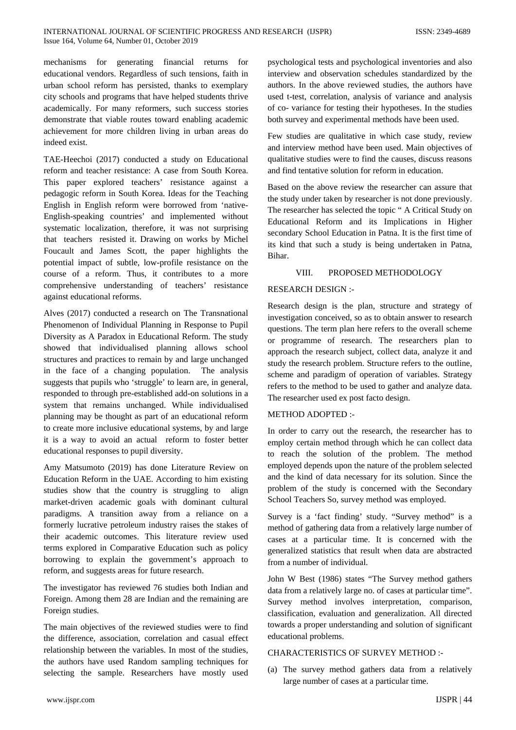mechanisms for generating financial returns for educational vendors. Regardless of such tensions, faith in urban school reform has persisted, thanks to exemplary city schools and programs that have helped students thrive academically. For many reformers, such success stories demonstrate that viable routes toward enabling academic achievement for more children living in urban areas do indeed exist.

TAE-Heechoi (2017) conducted a study on Educational reform and teacher resistance: A case from South Korea. This paper explored teachers' resistance against a pedagogic reform in South Korea. Ideas for the Teaching English in English reform were borrowed from 'native-English-speaking countries' and implemented without systematic localization, therefore, it was not surprising that teachers resisted it. Drawing on works by Michel Foucault and James Scott, the paper highlights the potential impact of subtle, low-profile resistance on the course of a reform. Thus, it contributes to a more comprehensive understanding of teachers' resistance against educational reforms.

Alves (2017) conducted a research on The Transnational Phenomenon of Individual Planning in Response to Pupil Diversity as A Paradox in Educational Reform. The study showed that individualised planning allows school structures and practices to remain by and large unchanged in the face of a changing population. The analysis suggests that pupils who 'struggle' to learn are, in general, responded to through pre-established add-on solutions in a system that remains unchanged. While individualised planning may be thought as part of an educational reform to create more inclusive educational systems, by and large it is a way to avoid an actual reform to foster better educational responses to pupil diversity.

Amy Matsumoto (2019) has done Literature Review on Education Reform in the UAE. According to him existing studies show that the country is struggling to align market-driven academic goals with dominant cultural paradigms. A transition away from a reliance on a formerly lucrative petroleum industry raises the stakes of their academic outcomes. This literature review used terms explored in Comparative Education such as policy borrowing to explain the government's approach to reform, and suggests areas for future research.

The investigator has reviewed 76 studies both Indian and Foreign. Among them 28 are Indian and the remaining are Foreign studies.

The main objectives of the reviewed studies were to find the difference, association, correlation and casual effect relationship between the variables. In most of the studies, the authors have used Random sampling techniques for selecting the sample. Researchers have mostly used psychological tests and psychological inventories and also interview and observation schedules standardized by the authors. In the above reviewed studies, the authors have used t-test, correlation, analysis of variance and analysis of co- variance for testing their hypotheses. In the studies both survey and experimental methods have been used.

Few studies are qualitative in which case study, review and interview method have been used. Main objectives of qualitative studies were to find the causes, discuss reasons and find tentative solution for reform in education.

Based on the above review the researcher can assure that the study under taken by researcher is not done previously. The researcher has selected the topic " A Critical Study on Educational Reform and its Implications in Higher secondary School Education in Patna. It is the first time of its kind that such a study is being undertaken in Patna, Bihar.

## VIII. PROPOSED METHODOLOGY

## RESEARCH DESIGN :-

Research design is the plan, structure and strategy of investigation conceived, so as to obtain answer to research questions. The term plan here refers to the overall scheme or programme of research. The researchers plan to approach the research subject, collect data, analyze it and study the research problem. Structure refers to the outline, scheme and paradigm of operation of variables. Strategy refers to the method to be used to gather and analyze data. The researcher used ex post facto design.

#### METHOD ADOPTED :-

In order to carry out the research, the researcher has to employ certain method through which he can collect data to reach the solution of the problem. The method employed depends upon the nature of the problem selected and the kind of data necessary for its solution. Since the problem of the study is concerned with the Secondary School Teachers So, survey method was employed.

Survey is a 'fact finding' study. "Survey method" is a method of gathering data from a relatively large number of cases at a particular time. It is concerned with the generalized statistics that result when data are abstracted from a number of individual.

John W Best (1986) states "The Survey method gathers data from a relatively large no. of cases at particular time". Survey method involves interpretation, comparison, classification, evaluation and generalization. All directed towards a proper understanding and solution of significant educational problems.

## CHARACTERISTICS OF SURVEY METHOD :-

(a) The survey method gathers data from a relatively large number of cases at a particular time.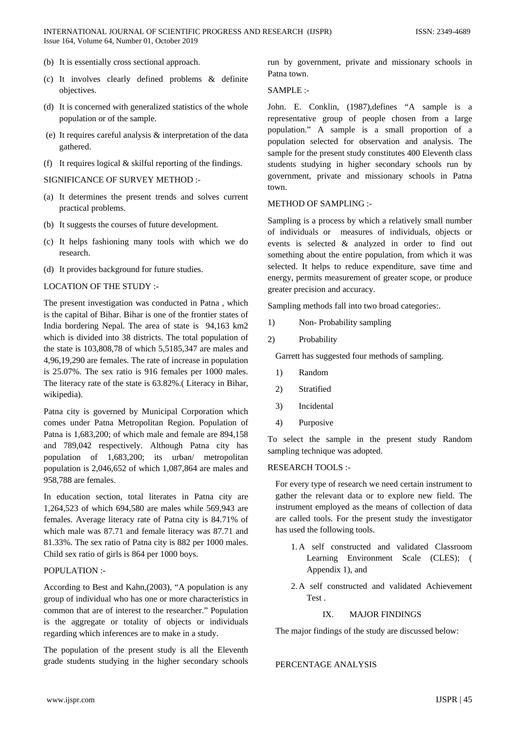- (b) It is essentially cross sectional approach.
- (c) It involves clearly defined problems & definite objectives.
- (d) It is concerned with generalized statistics of the whole population or of the sample.
- (e) It requires careful analysis & interpretation of the data gathered.
- (f) It requires logical  $&$  skilful reporting of the findings.

SIGNIFICANCE OF SURVEY METHOD :-

- (a) It determines the present trends and solves current practical problems.
- (b) It suggests the courses of future development.
- (c) It helps fashioning many tools with which we do research.
- (d) It provides background for future studies.

## LOCATION OF THE STUDY :-

The present investigation was conducted in Patna , which is the capital of Bihar. Bihar is one of the frontier states of India bordering Nepal. The area of state is 94,163 km2 which is divided into 38 districts. The total population of the state is 103,808,78 of which 5,5185,347 are males and 4,96,19,290 are females. The rate of increase in population is 25.07%. The sex ratio is 916 females per 1000 males. The literacy rate of the state is 63.82%.( Literacy in Bihar, wikipedia).

Patna city is governed by Municipal Corporation which comes under Patna Metropolitan Region. Population of Patna is 1,683,200; of which male and female are 894,158 and 789,042 respectively. Although Patna city has population of 1,683,200; its urban/ metropolitan population is 2,046,652 of which 1,087,864 are males and 958,788 are females.

In education section, total literates in Patna city are 1,264,523 of which 694,580 are males while 569,943 are females. Average literacy rate of Patna city is 84.71% of which male was 87.71 and female literacy was 87.71 and 81.33%. The sex ratio of Patna city is 882 per 1000 males. Child sex ratio of girls is 864 per 1000 boys.

#### POPULATION :-

According to Best and Kahn,(2003), "A population is any group of individual who has one or more characteristics in common that are of interest to the researcher." Population is the aggregate or totality of objects or individuals regarding which inferences are to make in a study.

The population of the present study is all the Eleventh grade students studying in the higher secondary schools run by government, private and missionary schools in Patna town.

## SAMPLE :-

John. E. Conklin, (1987),defines "A sample is a representative group of people chosen from a large population." A sample is a small proportion of a population selected for observation and analysis. The sample for the present study constitutes 400 Eleventh class students studying in higher secondary schools run by government, private and missionary schools in Patna town.

#### METHOD OF SAMPLING :-

Sampling is a process by which a relatively small number of individuals or measures of individuals, objects or events is selected & analyzed in order to find out something about the entire population, from which it was selected. It helps to reduce expenditure, save time and energy, permits measurement of greater scope, or produce greater precision and accuracy.

Sampling methods fall into two broad categories:.

- 1) Non- Probability sampling
- 2) Probability

Garrett has suggested four methods of sampling.

- 1) Random
- 2) Stratified
- 3) Incidental
- 4) Purposive

To select the sample in the present study Random sampling technique was adopted.

## RESEARCH TOOLS :-

For every type of research we need certain instrument to gather the relevant data or to explore new field. The instrument employed as the means of collection of data are called tools. For the present study the investigator has used the following tools.

- 1. A self constructed and validated Classroom Learning Environment Scale (CLES); ( Appendix 1), and
- 2. A self constructed and validated Achievement Test .

# IX. MAJOR FINDINGS

The major findings of the study are discussed below:

## PERCENTAGE ANALYSIS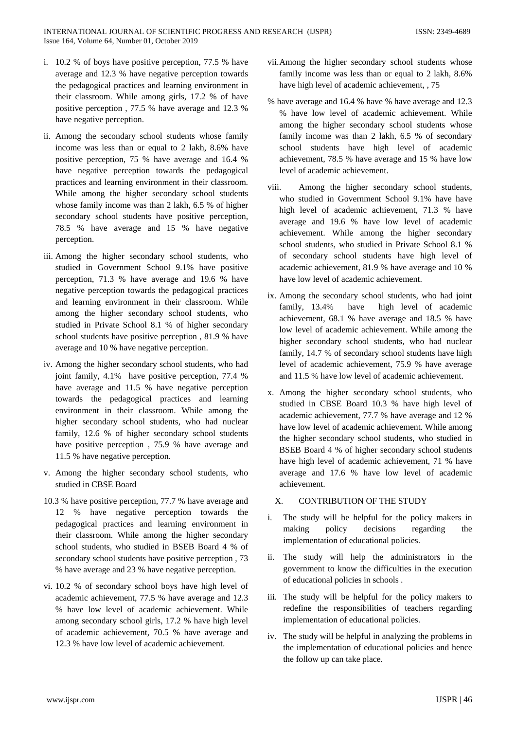- i. 10.2 % of boys have positive perception, 77.5 % have average and 12.3 % have negative perception towards the pedagogical practices and learning environment in their classroom. While among girls, 17.2 % of have positive perception , 77.5 % have average and 12.3 % have negative perception.
- ii. Among the secondary school students whose family income was less than or equal to 2 lakh, 8.6% have positive perception, 75 % have average and 16.4 % have negative perception towards the pedagogical practices and learning environment in their classroom. While among the higher secondary school students whose family income was than 2 lakh, 6.5 % of higher secondary school students have positive perception, 78.5 % have average and 15 % have negative perception.
- iii. Among the higher secondary school students, who studied in Government School 9.1% have positive perception, 71.3 % have average and 19.6 % have negative perception towards the pedagogical practices and learning environment in their classroom. While among the higher secondary school students, who studied in Private School 8.1 % of higher secondary school students have positive perception , 81.9 % have average and 10 % have negative perception.
- iv. Among the higher secondary school students, who had joint family, 4.1% have positive perception, 77.4 % have average and 11.5 % have negative perception towards the pedagogical practices and learning environment in their classroom. While among the higher secondary school students, who had nuclear family, 12.6 % of higher secondary school students have positive perception , 75.9 % have average and 11.5 % have negative perception.
- v. Among the higher secondary school students, who studied in CBSE Board
- 10.3 % have positive perception, 77.7 % have average and 12 % have negative perception towards the pedagogical practices and learning environment in their classroom. While among the higher secondary school students, who studied in BSEB Board 4 % of secondary school students have positive perception , 73 % have average and 23 % have negative perception.
- vi. 10.2 % of secondary school boys have high level of academic achievement, 77.5 % have average and 12.3 % have low level of academic achievement. While among secondary school girls, 17.2 % have high level of academic achievement, 70.5 % have average and 12.3 % have low level of academic achievement.
- vii.Among the higher secondary school students whose family income was less than or equal to 2 lakh, 8.6% have high level of academic achievement, , 75
- % have average and 16.4 % have % have average and 12.3 % have low level of academic achievement. While among the higher secondary school students whose family income was than 2 lakh, 6.5 % of secondary school students have high level of academic achievement, 78.5 % have average and 15 % have low level of academic achievement.
- viii. Among the higher secondary school students, who studied in Government School 9.1% have have high level of academic achievement, 71.3 % have average and 19.6 % have low level of academic achievement. While among the higher secondary school students, who studied in Private School 8.1 % of secondary school students have high level of academic achievement, 81.9 % have average and 10 % have low level of academic achievement.
- ix. Among the secondary school students, who had joint family, 13.4% have high level of academic achievement, 68.1 % have average and 18.5 % have low level of academic achievement. While among the higher secondary school students, who had nuclear family, 14.7 % of secondary school students have high level of academic achievement, 75.9 % have average and 11.5 % have low level of academic achievement.
- x. Among the higher secondary school students, who studied in CBSE Board 10.3 % have high level of academic achievement, 77.7 % have average and 12 % have low level of academic achievement. While among the higher secondary school students, who studied in BSEB Board 4 % of higher secondary school students have high level of academic achievement, 71 % have average and 17.6 % have low level of academic achievement.

# X. CONTRIBUTION OF THE STUDY

- i. The study will be helpful for the policy makers in making policy decisions regarding the implementation of educational policies.
- The study will help the administrators in the government to know the difficulties in the execution of educational policies in schools .
- iii. The study will be helpful for the policy makers to redefine the responsibilities of teachers regarding implementation of educational policies.
- iv. The study will be helpful in analyzing the problems in the implementation of educational policies and hence the follow up can take place.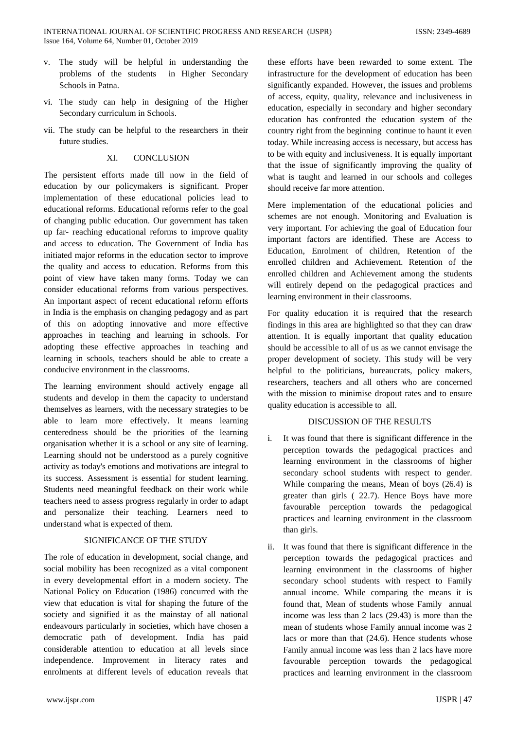- v. The study will be helpful in understanding the problems of the students in Higher Secondary Schools in Patna.
- vi. The study can help in designing of the Higher Secondary curriculum in Schools.
- vii. The study can be helpful to the researchers in their future studies.

## XI. CONCLUSION

The persistent efforts made till now in the field of education by our policymakers is significant. Proper implementation of these educational policies lead to educational reforms. Educational reforms refer to the goal of changing public education. Our government has taken up far- reaching educational reforms to improve quality and access to education. The Government of India has initiated major reforms in the education sector to improve the quality and access to education. Reforms from this point of view have taken many forms. Today we can consider educational reforms from various perspectives. An important aspect of recent educational reform efforts in India is the emphasis on changing pedagogy and as part of this on adopting innovative and more effective approaches in teaching and learning in schools. For adopting these effective approaches in teaching and learning in schools, teachers should be able to create a conducive environment in the classrooms.

The learning environment should actively engage all students and develop in them the capacity to understand themselves as learners, with the necessary strategies to be able to learn more effectively. It means learning centeredness should be the priorities of the learning organisation whether it is a school or any site of learning. Learning should not be understood as a purely cognitive activity as today's emotions and motivations are integral to its success. Assessment is essential for student learning. Students need meaningful feedback on their work while teachers need to assess progress regularly in order to adapt and personalize their teaching. Learners need to understand what is expected of them.

## SIGNIFICANCE OF THE STUDY

The role of education in development, social change, and social mobility has been recognized as a vital component in every developmental effort in a modern society. The National Policy on Education (1986) concurred with the view that education is vital for shaping the future of the society and signified it as the mainstay of all national endeavours particularly in societies, which have chosen a democratic path of development. India has paid considerable attention to education at all levels since independence. Improvement in literacy rates and enrolments at different levels of education reveals that

these efforts have been rewarded to some extent. The infrastructure for the development of education has been significantly expanded. However, the issues and problems of access, equity, quality, relevance and inclusiveness in education, especially in secondary and higher secondary education has confronted the education system of the country right from the beginning continue to haunt it even today. While increasing access is necessary, but access has to be with equity and inclusiveness. It is equally important that the issue of significantly improving the quality of what is taught and learned in our schools and colleges should receive far more attention.

Mere implementation of the educational policies and schemes are not enough. Monitoring and Evaluation is very important. For achieving the goal of Education four important factors are identified. These are Access to Education, Enrolment of children, Retention of the enrolled children and Achievement. Retention of the enrolled children and Achievement among the students will entirely depend on the pedagogical practices and learning environment in their classrooms.

For quality education it is required that the research findings in this area are highlighted so that they can draw attention. It is equally important that quality education should be accessible to all of us as we cannot envisage the proper development of society. This study will be very helpful to the politicians, bureaucrats, policy makers, researchers, teachers and all others who are concerned with the mission to minimise dropout rates and to ensure quality education is accessible to all.

## DISCUSSION OF THE RESULTS

- i. It was found that there is significant difference in the perception towards the pedagogical practices and learning environment in the classrooms of higher secondary school students with respect to gender. While comparing the means, Mean of boys (26.4) is greater than girls ( 22.7). Hence Boys have more favourable perception towards the pedagogical practices and learning environment in the classroom than girls.
- ii. It was found that there is significant difference in the perception towards the pedagogical practices and learning environment in the classrooms of higher secondary school students with respect to Family annual income. While comparing the means it is found that, Mean of students whose Family annual income was less than 2 lacs (29.43) is more than the mean of students whose Family annual income was 2 lacs or more than that (24.6). Hence students whose Family annual income was less than 2 lacs have more favourable perception towards the pedagogical practices and learning environment in the classroom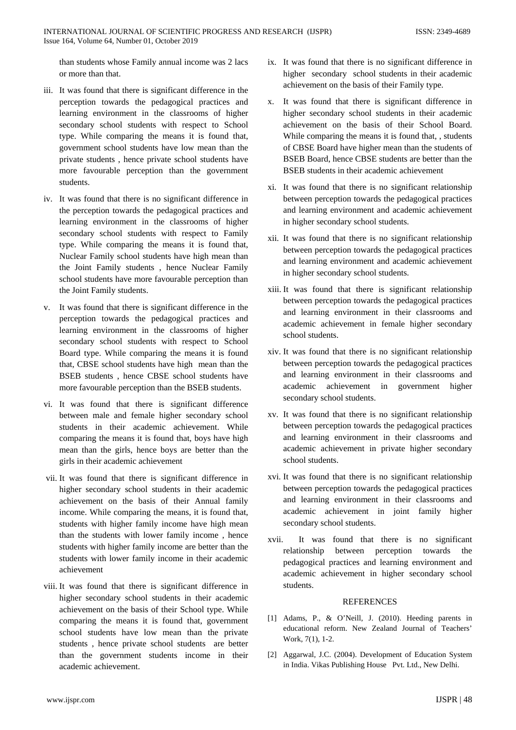than students whose Family annual income was 2 lacs or more than that.

- iii. It was found that there is significant difference in the perception towards the pedagogical practices and learning environment in the classrooms of higher secondary school students with respect to School type. While comparing the means it is found that, government school students have low mean than the private students , hence private school students have more favourable perception than the government students.
- iv. It was found that there is no significant difference in the perception towards the pedagogical practices and learning environment in the classrooms of higher secondary school students with respect to Family type. While comparing the means it is found that, Nuclear Family school students have high mean than the Joint Family students , hence Nuclear Family school students have more favourable perception than the Joint Family students.
- v. It was found that there is significant difference in the perception towards the pedagogical practices and learning environment in the classrooms of higher secondary school students with respect to School Board type. While comparing the means it is found that, CBSE school students have high mean than the BSEB students , hence CBSE school students have more favourable perception than the BSEB students.
- vi. It was found that there is significant difference between male and female higher secondary school students in their academic achievement. While comparing the means it is found that, boys have high mean than the girls, hence boys are better than the girls in their academic achievement
- vii. It was found that there is significant difference in higher secondary school students in their academic achievement on the basis of their Annual family income. While comparing the means, it is found that, students with higher family income have high mean than the students with lower family income , hence students with higher family income are better than the students with lower family income in their academic achievement
- viii. It was found that there is significant difference in higher secondary school students in their academic achievement on the basis of their School type. While comparing the means it is found that, government school students have low mean than the private students , hence private school students are better than the government students income in their academic achievement.
- ix. It was found that there is no significant difference in higher secondary school students in their academic achievement on the basis of their Family type.
- x. It was found that there is significant difference in higher secondary school students in their academic achievement on the basis of their School Board. While comparing the means it is found that, , students of CBSE Board have higher mean than the students of BSEB Board, hence CBSE students are better than the BSEB students in their academic achievement
- xi. It was found that there is no significant relationship between perception towards the pedagogical practices and learning environment and academic achievement in higher secondary school students.
- xii. It was found that there is no significant relationship between perception towards the pedagogical practices and learning environment and academic achievement in higher secondary school students.
- xiii. It was found that there is significant relationship between perception towards the pedagogical practices and learning environment in their classrooms and academic achievement in female higher secondary school students.
- xiv. It was found that there is no significant relationship between perception towards the pedagogical practices and learning environment in their classrooms and academic achievement in government higher secondary school students.
- xv. It was found that there is no significant relationship between perception towards the pedagogical practices and learning environment in their classrooms and academic achievement in private higher secondary school students.
- xvi. It was found that there is no significant relationship between perception towards the pedagogical practices and learning environment in their classrooms and academic achievement in joint family higher secondary school students.
- xvii. It was found that there is no significant relationship between perception towards the pedagogical practices and learning environment and academic achievement in higher secondary school students.

#### **REFERENCES**

- [1] Adams, P., & O'Neill, J. (2010). Heeding parents in educational reform. New Zealand Journal of Teachers' Work, 7(1), 1-2.
- [2] Aggarwal, J.C. (2004). Development of Education System in India. Vikas Publishing House Pvt. Ltd., New Delhi.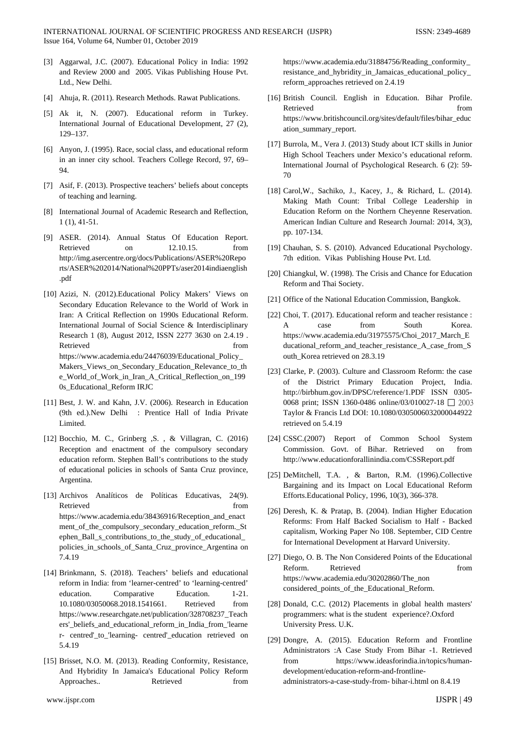- [3] Aggarwal, J.C. (2007). Educational Policy in India: 1992 and Review 2000 and 2005. Vikas Publishing House Pvt. Ltd., New Delhi.
- [4] Ahuja, R. (2011). Research Methods. Rawat Publications.
- [5] Ak it, N. (2007). Educational reform in Turkey. International Journal of Educational Development, 27 (2), 129–137.
- [6] Anyon, J. (1995). Race, social class, and educational reform in an inner city school. Teachers College Record, 97, 69– 94.
- [7] Asif, F. (2013). Prospective teachers' beliefs about concepts of teaching and learning.
- [8] International Journal of Academic Research and Reflection, 1 (1), 41-51.
- [9] ASER. (2014). Annual Status Of Education Report. Retrieved on 12.10.15. from http://img.asercentre.org/docs/Publications/ASER%20Repo rts/ASER%202014/National%20PPTs/aser2014indiaenglish .pdf
- [10] Azizi, N. (2012).Educational Policy Makers' Views on Secondary Education Relevance to the World of Work in Iran: A Critical Reflection on 1990s Educational Reform. International Journal of Social Science & Interdisciplinary Research 1 (8), August 2012, ISSN 2277 3630 on 2.4.19 . Retrieved from the state of  $\sim$ https://www.academia.edu/24476039/Educational\_Policy\_ Makers\_Views\_on\_Secondary\_Education\_Relevance\_to\_th e\_World\_of\_Work\_in\_Iran\_A\_Critical\_Reflection\_on\_199 0s\_Educational\_Reform IRJC
- [11] Best, J. W. and Kahn, J.V. (2006). Research in Education (9th ed.).New Delhi : Prentice Hall of India Private Limited.
- [12] Bocchio, M. C., Grinberg ,S. , & Villagran, C. (2016) Reception and enactment of the compulsory secondary education reform. Stephen Ball's contributions to the study of educational policies in schools of Santa Cruz province, Argentina.
- [13] Archivos Analíticos de Políticas Educativas, 24(9). Retrieved from the state of  $\sim$ https://www.academia.edu/38436916/Reception\_and\_enact ment\_of\_the\_compulsory\_secondary\_education\_reform.\_St ephen\_Ball\_s\_contributions\_to\_the\_study\_of\_educational\_ policies\_in\_schools\_of\_Santa\_Cruz\_province\_Argentina on 7.4.19
- [14] Brinkmann, S. (2018). Teachers' beliefs and educational reform in India: from 'learner-centred' to 'learning-centred' education. Comparative Education. 1-21. 10.1080/03050068.2018.1541661. Retrieved from https://www.researchgate.net/publication/328708237\_Teach ers'\_beliefs\_and\_educational\_reform\_in\_India\_from\_'learne r- centred'\_to\_'learning- centred'\_education retrieved on 5.4.19
- [15] Brisset, N.O. M. (2013). Reading Conformity, Resistance, And Hybridity In Jamaica's Educational Policy Reform Approaches.. Retrieved from

https://www.academia.edu/31884756/Reading\_conformity\_ resistance\_and\_hybridity\_in\_Jamaicas\_educational\_policy\_ reform\_approaches retrieved on 2.4.19

- [16] British Council. English in Education. Bihar Profile. Retrieved from the state of  $\sim$ https://www.britishcouncil.org/sites/default/files/bihar\_educ ation\_summary\_report.
- [17] Burrola, M., Vera J. (2013) Study about ICT skills in Junior High School Teachers under Mexico's educational reform. International Journal of Psychological Research. 6 (2): 59- 70
- [18] Carol,W., Sachiko, J., Kacey, J., & Richard, L. (2014). Making Math Count: Tribal College Leadership in Education Reform on the Northern Cheyenne Reservation. American Indian Culture and Research Journal: 2014, 3(3), pp. 107-134.
- [19] Chauhan, S. S. (2010). Advanced Educational Psychology. 7th edition. Vikas Publishing House Pvt. Ltd.
- [20] Chiangkul, W. (1998). The Crisis and Chance for Education Reform and Thai Society.
- [21] Office of the National Education Commission, Bangkok.
- [22] Choi, T. (2017). Educational reform and teacher resistance : A case from South Korea. https://www.academia.edu/31975575/Choi\_2017\_March\_E ducational\_reform\_and\_teacher\_resistance\_A\_case\_from\_S outh\_Korea retrieved on 28.3.19
- [23] Clarke, P. (2003). Culture and Classroom Reform: the case of the District Primary Education Project, India. http://birbhum.gov.in/DPSC/reference/1.PDF ISSN 0305- 0068 print; ISSN 1360-0486 online/03/010027-18 2003 Taylor & Francis Ltd DOI: 10.1080/0305006032000044922 retrieved on 5.4.19
- [24] CSSC.(2007) Report of Common School System Commission. Govt. of Bihar. Retrieved on from http://www.educationforallinindia.com/CSSReport.pdf
- [25] DeMitchell, T.A. , & Barton, R.M. (1996).Collective Bargaining and its Impact on Local Educational Reform Efforts.Educational Policy, 1996, 10(3), 366-378.
- [26] Deresh, K. & Pratap, B. (2004). Indian Higher Education Reforms: From Half Backed Socialism to Half - Backed capitalism, Working Paper No 108. September, CID Centre for International Development at Harvard University.
- [27] Diego, O. B. The Non Considered Points of the Educational Reform. Retrieved from from https://www.academia.edu/30202860/The\_non considered\_points\_of\_the\_Educational\_Reform.
- [28] Donald, C.C. (2012) Placements in global health masters' programmers: what is the student experience?.Oxford University Press. U.K.
- [29] Dongre, A. (2015). Education Reform and Frontline Administrators :A Case Study From Bihar -1. Retrieved from https://www.ideasforindia.in/topics/humandevelopment/education-reform-and-frontlineadministrators-a-case-study-from- bihar-i.html on 8.4.19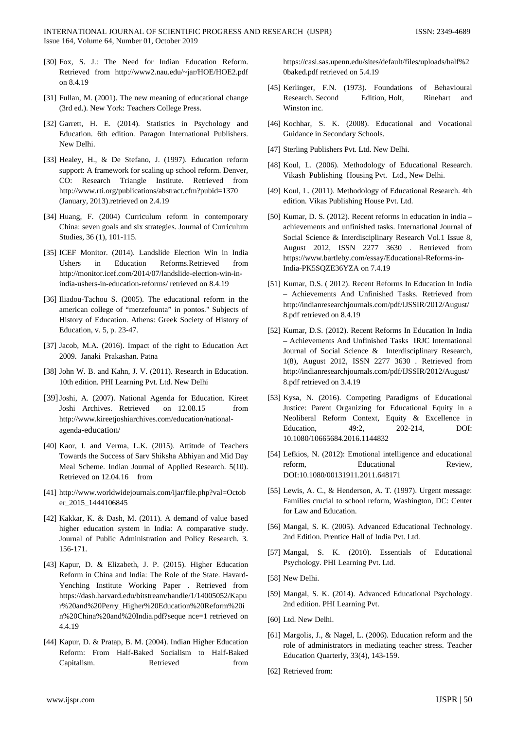- [30] Fox, S. J.: The Need for Indian Education Reform. Retrieved from http://www2.nau.edu/~jar/HOE/HOE2.pdf on 8.4.19
- [31] Fullan, M. (2001). The new meaning of educational change (3rd ed.). New York: Teachers College Press.
- [32] Garrett, H. E. (2014). Statistics in Psychology and Education. 6th edition. Paragon International Publishers. New Delhi.
- [33] Healey, H., & De Stefano, J. (1997). Education reform support: A framework for scaling up school reform. Denver, CO: Research Triangle Institute. Retrieved from http://www.rti.org/publications/abstract.cfm?pubid=1370 (January, 2013).retrieved on 2.4.19
- [34] Huang, F. (2004) Curriculum reform in contemporary China: seven goals and six strategies. Journal of Curriculum Studies, 36 (1), 101-115.
- [35] ICEF Monitor. (2014). Landslide Election Win in India Ushers in Education Reforms.Retrieved from http://monitor.icef.com/2014/07/landslide-election-win-inindia-ushers-in-education-reforms/ retrieved on 8.4.19
- [36] Iliadou-Tachou S. (2005). The educational reform in the american college of "merzefounta" in pontos." Subjects of History of Education. Athens: Greek Society of History of Education, v. 5, p. 23-47.
- [37] Jacob, M.A. (2016). Impact of the right to Education Act 2009. Janaki Prakashan. Patna
- [38] John W. B. and Kahn, J. V. (2011). Research in Education. 10th edition. PHI Learning Pvt. Ltd. New Delhi
- [39]Joshi, A. (2007). National Agenda for Education. Kireet Joshi Archives. Retrieved on 12.08.15 from http://www.kireetjoshiarchives.com/education/nationalagenda-education/
- [40] Kaor, I. and Verma, L.K. (2015). Attitude of Teachers Towards the Success of Sarv Shiksha Abhiyan and Mid Day Meal Scheme. Indian Journal of Applied Research. 5(10). Retrieved on 12.04.16 from
- [41] http://www.worldwidejournals.com/ijar/file.php?val=Octob er\_2015\_1444106845
- [42] Kakkar, K. & Dash, M. (2011). A demand of value based higher education system in India: A comparative study. Journal of Public Administration and Policy Research. 3. 156-171.
- [43] Kapur, D. & Elizabeth, J. P. (2015). Higher Education Reform in China and India: The Role of the State. Havard-Yenching Institute Working Paper . Retrieved from https://dash.harvard.edu/bitstream/handle/1/14005052/Kapu r%20and%20Perry\_Higher%20Education%20Reform%20i n%20China%20and%20India.pdf?seque nce=1 retrieved on 4.4.19
- [44] Kapur, D. & Pratap, B. M. (2004). Indian Higher Education Reform: From Half-Baked Socialism to Half-Baked Capitalism. Retrieved from

https://casi.sas.upenn.edu/sites/default/files/uploads/half%2 0baked.pdf retrieved on 5.4.19

- [45] Kerlinger, F.N. (1973). Foundations of Behavioural Research. Second Edition, Holt, Rinehart and Winston inc.
- [46] Kochhar, S. K. (2008). Educational and Vocational Guidance in Secondary Schools.
- [47] Sterling Publishers Pvt. Ltd. New Delhi.
- [48] Koul, L. (2006). Methodology of Educational Research. Vikash Publishing Housing Pvt. Ltd., New Delhi.
- [49] Koul, L. (2011). Methodology of Educational Research. 4th edition. Vikas Publishing House Pvt. Ltd.
- [50] Kumar, D. S. (2012). Recent reforms in education in india achievements and unfinished tasks. International Journal of Social Science & Interdisciplinary Research Vol.1 Issue 8, August 2012, ISSN 2277 3630 . Retrieved from https://www.bartleby.com/essay/Educational-Reforms-in-India-PK5SQZE36YZA on 7.4.19
- [51] Kumar, D.S. ( 2012). Recent Reforms In Education In India – Achievements And Unfinished Tasks. Retrieved from http://indianresearchjournals.com/pdf/IJSSIR/2012/August/ 8.pdf retrieved on 8.4.19
- [52] Kumar, D.S. (2012). Recent Reforms In Education In India – Achievements And Unfinished Tasks IRJC International Journal of Social Science & Interdisciplinary Research, 1(8), August 2012, ISSN 2277 3630 . Retrieved from http://indianresearchjournals.com/pdf/IJSSIR/2012/August/ 8.pdf retrieved on 3.4.19
- [53] Kysa, N. (2016). Competing Paradigms of Educational Justice: Parent Organizing for Educational Equity in a Neoliberal Reform Context, Equity & Excellence in Education, 49:2, 202-214, DOI: 10.1080/10665684.2016.1144832
- [54] Lefkios, N. (2012): Emotional intelligence and educational reform, Educational Review, DOI:10.1080/00131911.2011.648171
- [55] Lewis, A. C., & Henderson, A. T. (1997). Urgent message: Families crucial to school reform, Washington, DC: Center for Law and Education.
- [56] Mangal, S. K. (2005). Advanced Educational Technology. 2nd Edition. Prentice Hall of India Pvt. Ltd.
- [57] Mangal, S. K. (2010). Essentials of Educational Psychology. PHI Learning Pvt. Ltd.
- [58] New Delhi.
- [59] Mangal, S. K. (2014). Advanced Educational Psychology. 2nd edition. PHI Learning Pvt.
- [60] Ltd. New Delhi.
- [61] Margolis, J., & Nagel, L. (2006). Education reform and the role of administrators in mediating teacher stress. Teacher Education Quarterly, 33(4), 143-159.
- [62] Retrieved from: